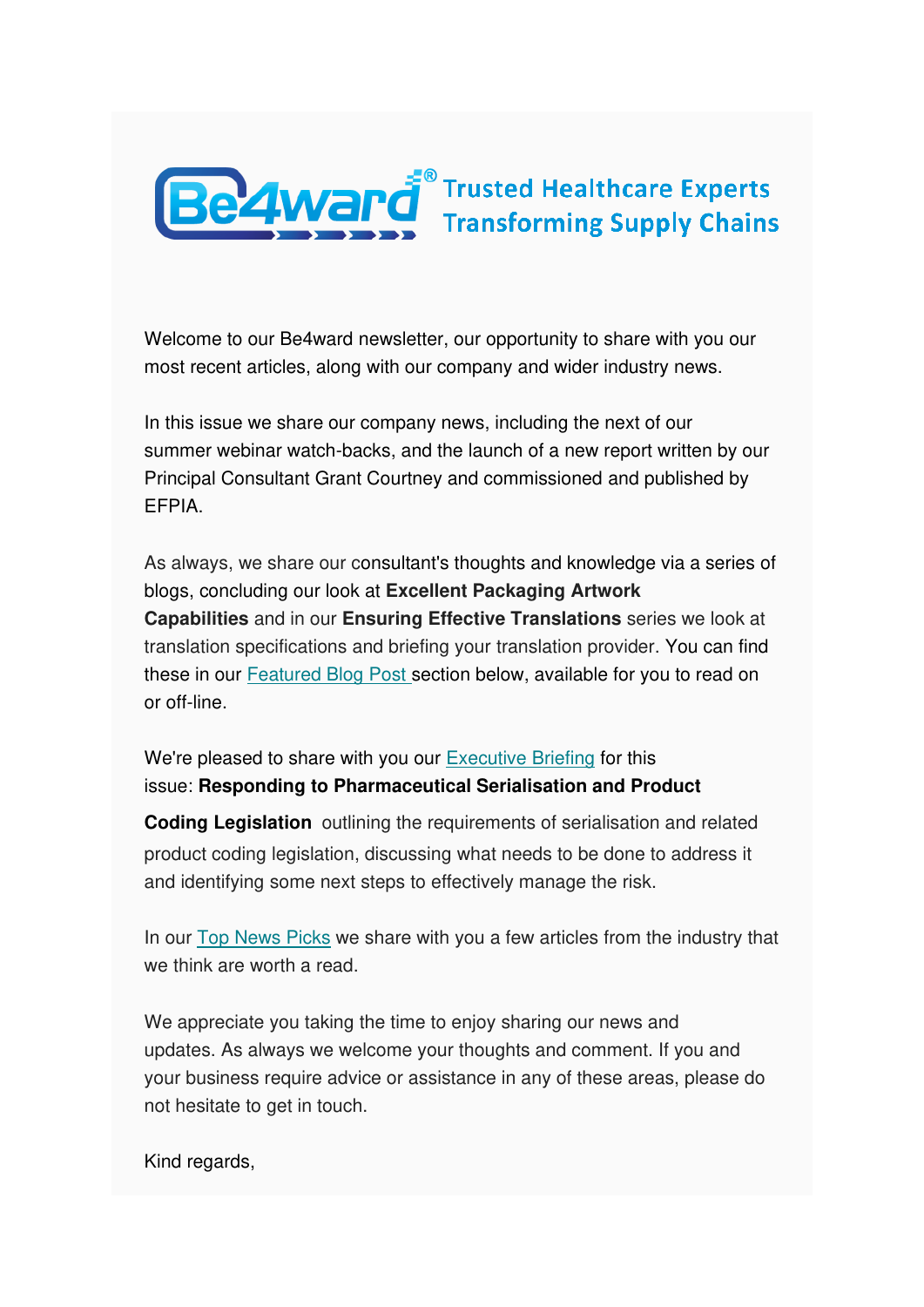

Welcome to our Be4ward newsletter, our opportunity to share with you our most recent articles, along with our company and wider industry news.

In this issue we share our company news, including the next of our summer webinar watch-backs, and the launch of a new report written by our Principal Consultant Grant Courtney and commissioned and published by EFPIA.

As always, we share our consultant's thoughts and knowledge via a series of blogs, concluding our look at **Excellent Packaging Artwork Capabilities** and in our **Ensuring Effective Translations** series we look at translation specifications and briefing your translation provider. You can find these in our [Featured Blog Post s](https://us5.campaign-archive.com/?u=e26c7f2af713739ac392fa0ba&id=3791b25595#Blogs%20by%20Stephen)ection below, available for you to read on or off-line.

We're pleased to share with you our [Executive Briefing](https://us5.campaign-archive.com/?u=e26c7f2af713739ac392fa0ba&id=3791b25595#Executive%20Briefing) for this issue: **Responding to Pharmaceutical Serialisation and Product** 

**Coding Legislation** outlining the requirements of serialisation and related product coding legislation, discussing what needs to be done to address it and identifying some next steps to effectively manage the risk.

In our [Top News Picks](https://us5.campaign-archive.com/?u=e26c7f2af713739ac392fa0ba&id=3791b25595#TOPNEWSPICKS) we share with you a few articles from the industry that we think are worth a read.

We appreciate you taking the time to enjoy sharing our news and updates. As always we welcome your thoughts and comment. If you and your business require advice or assistance in any of these areas, please do not hesitate to get in touch.

Kind regards,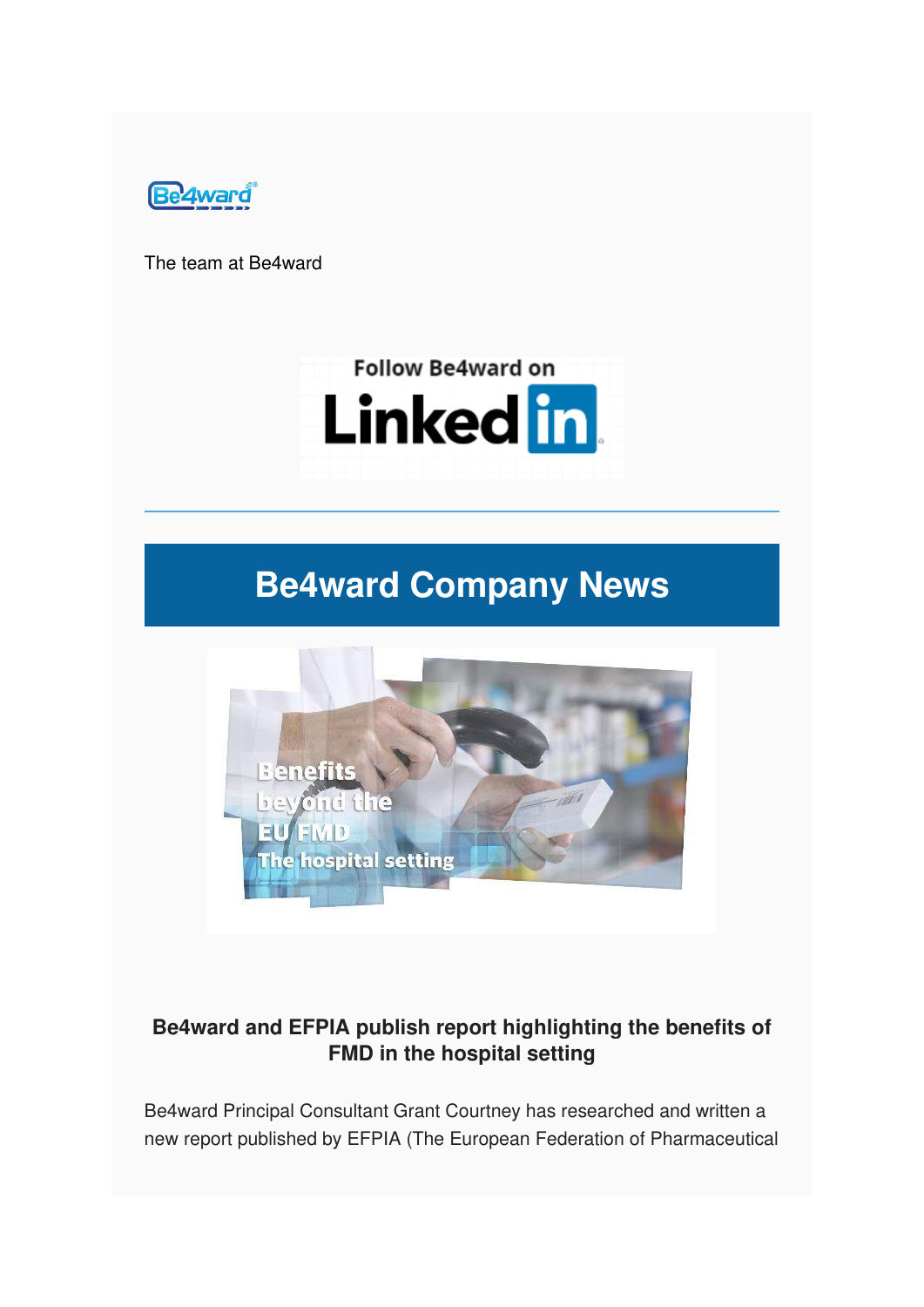

The team at Be4ward



# **Be4ward Company News**



### **Be4ward and EFPIA publish report highlighting the benefits of FMD in the hospital setting**

Be4ward Principal Consultant Grant Courtney has researched and written a new report published by EFPIA (The European Federation of Pharmaceutical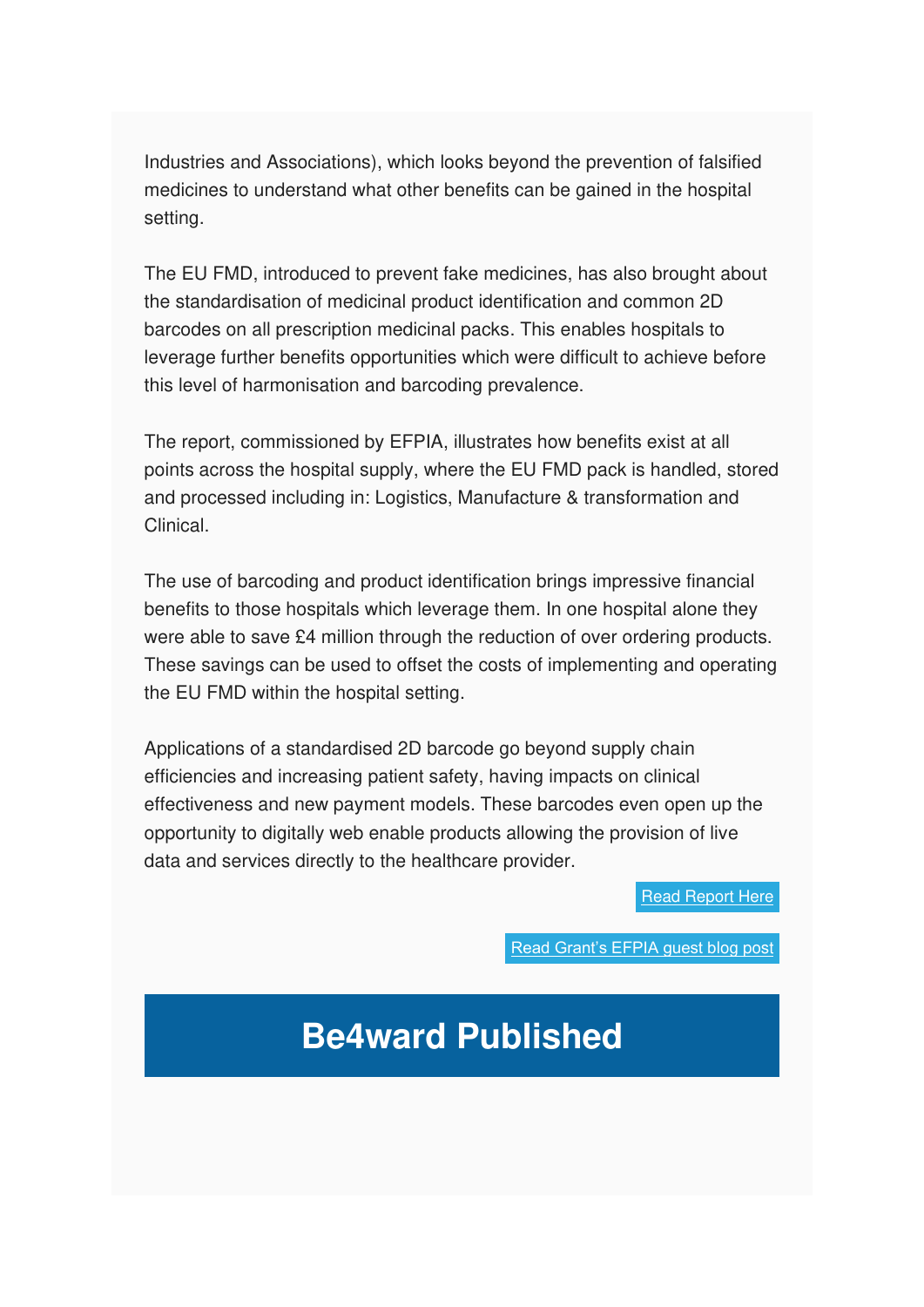Industries and Associations), which looks beyond the prevention of falsified medicines to understand what other benefits can be gained in the hospital setting.

The EU FMD, introduced to prevent fake medicines, has also brought about the standardisation of medicinal product identification and common 2D barcodes on all prescription medicinal packs. This enables hospitals to leverage further benefits opportunities which were difficult to achieve before this level of harmonisation and barcoding prevalence.

The report, commissioned by EFPIA, illustrates how benefits exist at all points across the hospital supply, where the EU FMD pack is handled, stored and processed including in: Logistics, Manufacture & transformation and Clinical.

The use of barcoding and product identification brings impressive financial benefits to those hospitals which leverage them. In one hospital alone they were able to save £4 million through the reduction of over ordering products. These savings can be used to offset the costs of implementing and operating the EU FMD within the hospital setting.

Applications of a standardised 2D barcode go beyond supply chain efficiencies and increasing patient safety, having impacts on clinical effectiveness and new payment models. These barcodes even open up the opportunity to digitally web enable products allowing the provision of live data and services directly to the healthcare provider.

[Read Report Here](https://www.be4ward.com/benefits-beyond-eu-falsified-medicines-directive/)

[Read Grant's EFPIA guest b](https://efpia.eu/news-events/the-efpia-view/blog-articles/introducing-the-new-report-benefits-beyond-the-eu-falsified-medicines-directive-the-hospital-setting/)log post

# **Be4ward Published**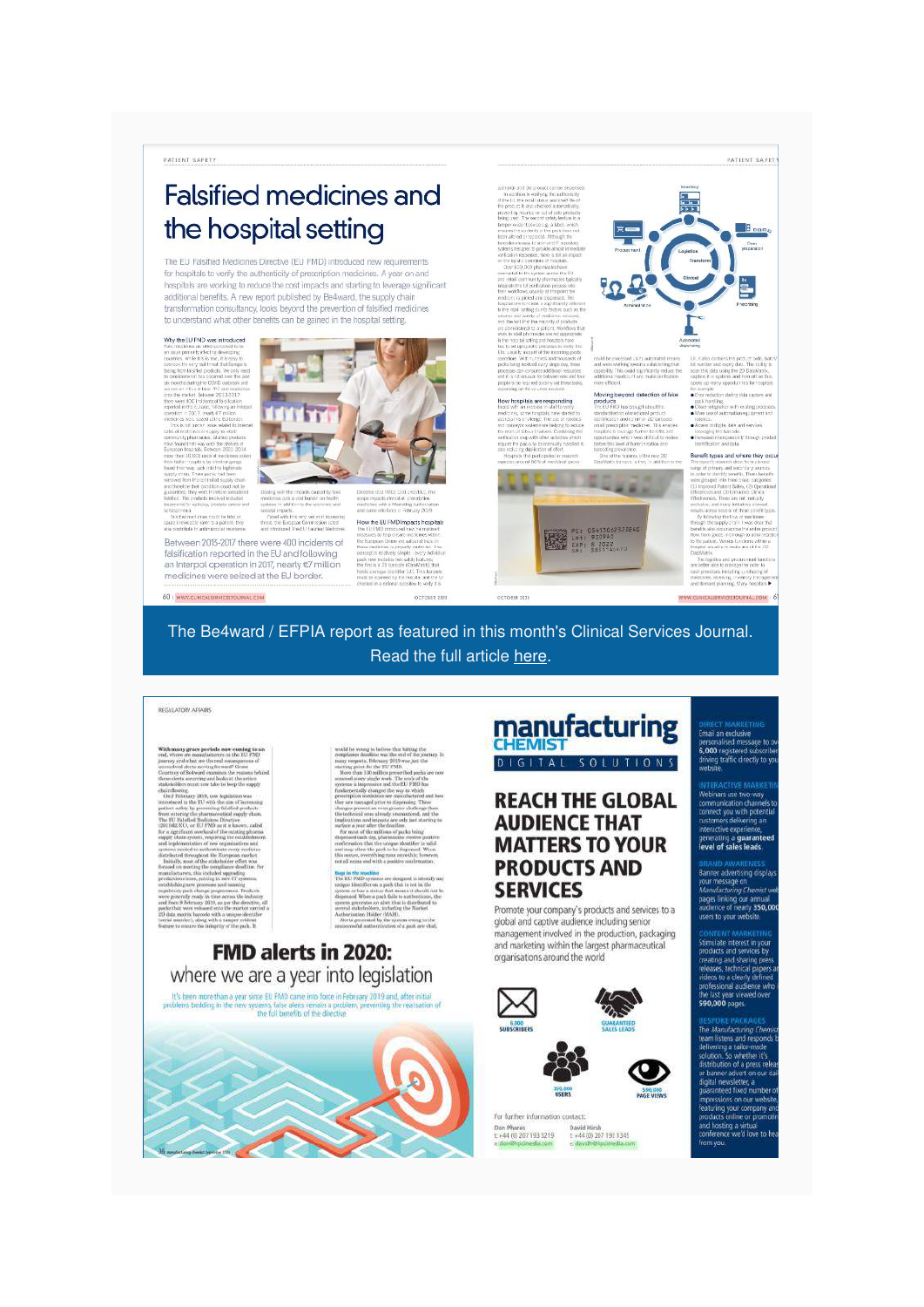PATIENT SAFETY

# **Falsified medicines and** the hospital setting

The EU Falsified Medicines Directive (EU FMD) introduced new requirements for hospitals to verify the authenticity of prescription medicines. A year on and hospitals are working to reduce the cost impacts and starting to leverage significant additional benefits. A new report published by Be4ward, the supply chain transformation consultancy, looks beyond the prevention of falsified medicines to understand what other benefits can be gained in the hospital setting.

by the EU FMD was in uslicinus are offen parent<br>in primiinty arbisting deve<br>cs. Withe this is true, it is<br>in the very multi-read the 67 million<br>It's EU tox<br>Imbded b

Retween 2013-2017 there were 400 incidents of falsification reported in the EU and following an Interpol operation in 2017, nearly €7 million<br>medicines were seized at the EU border.

60 | WWW.CUNICALSERVICESTOLIBANLICOM



w the EU FMD Im

OCTOBER 232



Moving b

as imaginated the

Benefit types and where

The Be4ward / EFPIA report as featured in this month's Clinical Services Journal. Read the full article [here.](https://content.yudu.com/web/1u0jl/0A1up6l/CSJ-October-2020/html/index.html?page=60&origin=reader)

#### REGULATORY AFFAIRS

### **FMD alerts in 2020:** where we are a year into legislation

It's been more than a year since EU FMD came into force in February 2019 and, after initial<br>roblen's bedding in the new systems, take allers remain a problem, proventing the realisation<br>the full benefits of the directive



#### manufacturing **CHEMIST** DIGITAL SOLUTIONS

#### **REACH THE GLOBAL AUDIENCE THAT MATTERS TO YOUR PRODUCTS AND SERVICES**

Promote your company's products and services to a global and captive audience including senior management involved in the production, packaging and marketing within the largest pharmaceutical organisations around the world



David Hirsh<br>1: +44 (0) 207 193 1345<br>1: david: Phocemedia.co Don Phares<br>t: +44 (0) 207 193 3219



PATIENT BAFETY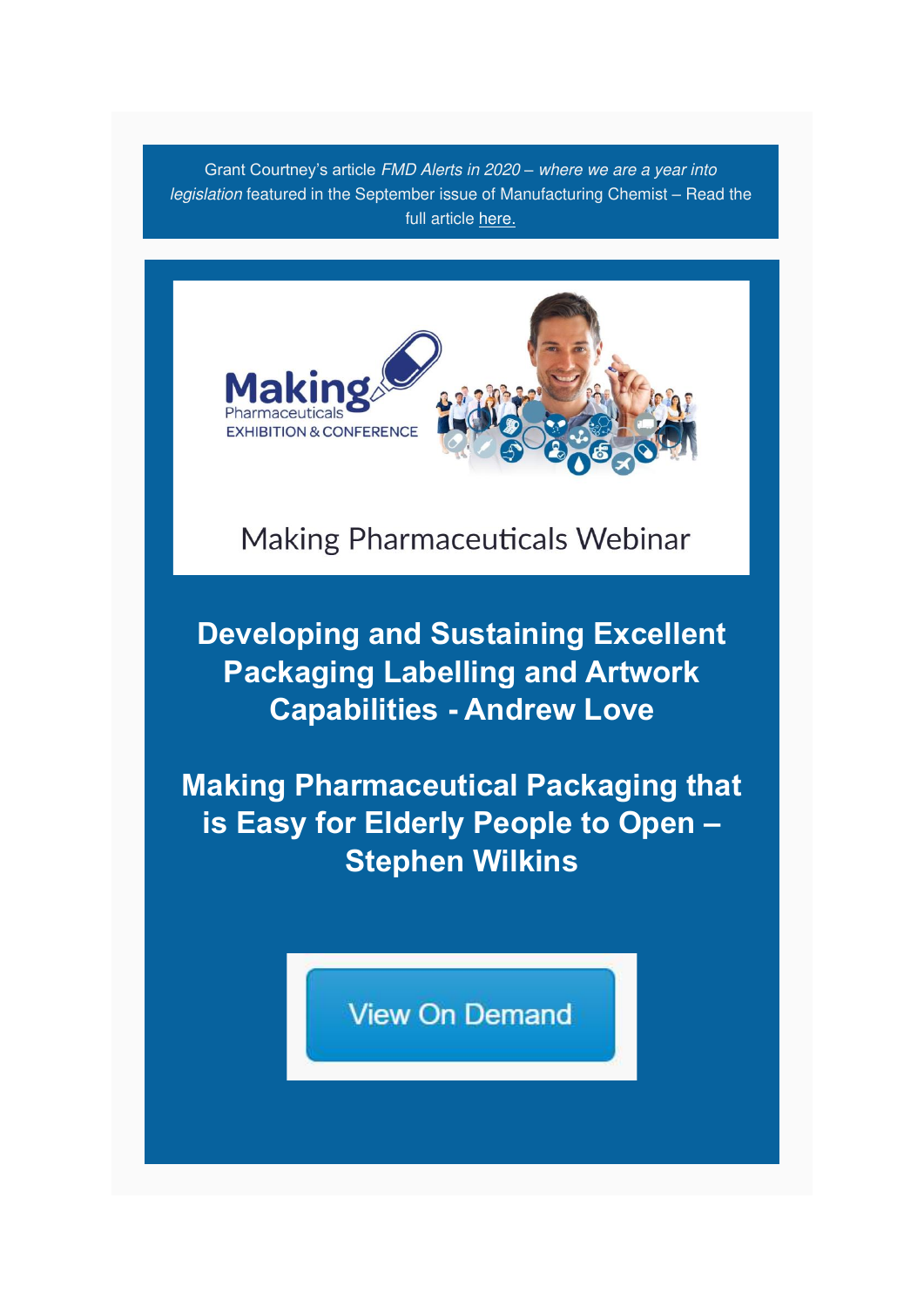Grant Courtney's article FMD Alerts in 2020 *–* where we are a year into legislation featured in the September issue of Manufacturing Chemist – Read the full article [here.](https://content.yudu.com/web/fiqy/0A3zgsi/manuchemistsept20/html/index.html?page=36&origin=reader)



**Making Pharmaceuticals Webinar** 

**Developing and Sustaining Excellent Packaging Labelling and Artwork Capabilities - Andrew Love**

**Making Pharmaceutical Packaging that is Easy for Elderly People to Open – Stephen Wilkins**

**View On Demand**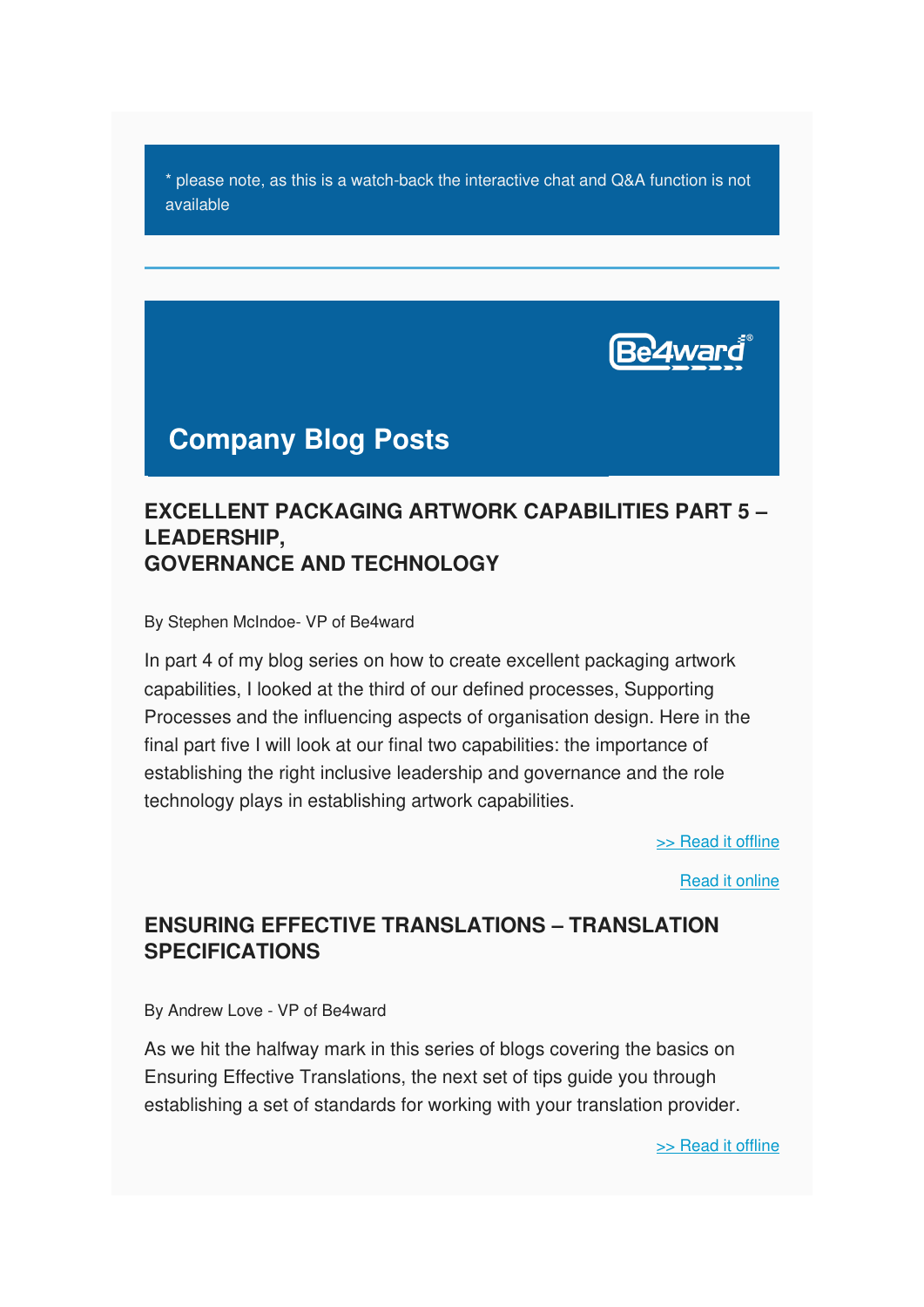\* please note, as this is a watch-back the interactive chat and Q&A function is not available



# **Company Blog Posts**

### **EXCELLENT PACKAGING ARTWORK CAPABILITIES PART 5 – LEADERSHIP, GOVERNANCE AND TECHNOLOGY**

By Stephen McIndoe- VP of Be4ward

In part 4 of my blog series on how to create excellent packaging artwork capabilities, I looked at the third of our defined processes, Supporting Processes and the influencing aspects of organisation design. Here in the final part five I will look at our final two capabilities: the importance of establishing the right inclusive leadership and governance and the role technology plays in establishing artwork capabilities.

[>> Read it offline](https://us5.campaign-archive.com/?u=e26c7f2af713739ac392fa0ba&id=3791b25595#SM%20Blog)

[Read it online](https://www.be4ward.com/blogstephenmcindoe/2020/07/27/excellent-packaging-artwork-capabilities-part-5-leadership-governance-and-technology/)

### **ENSURING EFFECTIVE TRANSLATIONS – TRANSLATION SPECIFICATIONS**

By Andrew Love - VP of Be4ward

As we hit the halfway mark in this series of blogs covering the basics on Ensuring Effective Translations, the next set of tips guide you through establishing a set of standards for working with your translation provider.

[>> Read it offline](https://us5.campaign-archive.com/?u=e26c7f2af713739ac392fa0ba&id=3791b25595#ALBlog1)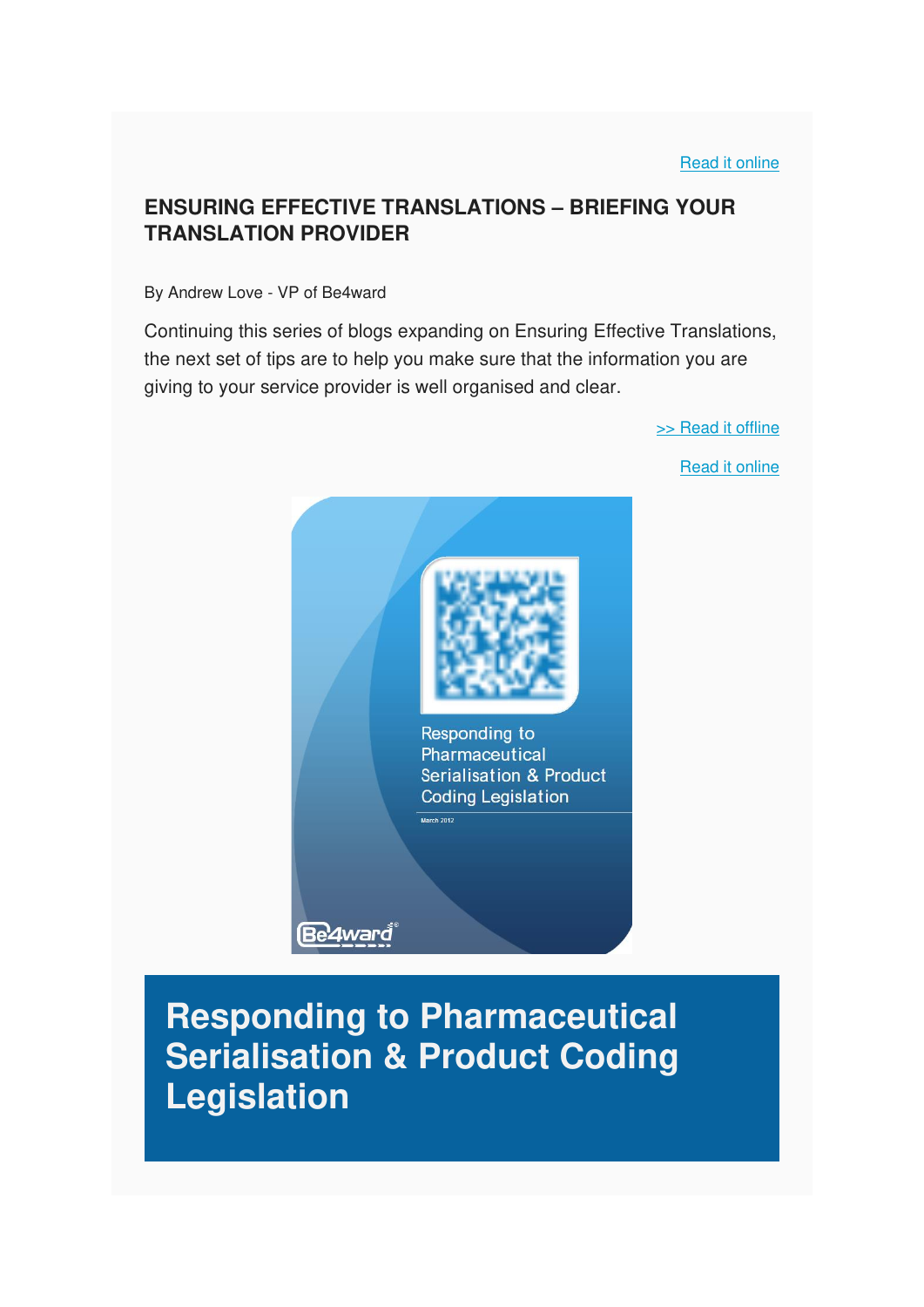[>> Read it offline](https://us5.campaign-archive.com/?u=e26c7f2af713739ac392fa0ba&id=3791b25595#AL%20Blog2)

[Read it online](https://www.be4ward.com/blogandrewrlove/2020/09/28/ensuring-effective-translations-briefing-your-translation-provider/)

### **ENSURING EFFECTIVE TRANSLATIONS – BRIEFING YOUR TRANSLATION PROVIDER**

#### By Andrew Love - VP of Be4ward

Continuing this series of blogs expanding on Ensuring Effective Translations, the next set of tips are to help you make sure that the information you are giving to your service provider is well organised and clear.



# **Responding to Pharmaceutical Serialisation & Product Coding Legislation**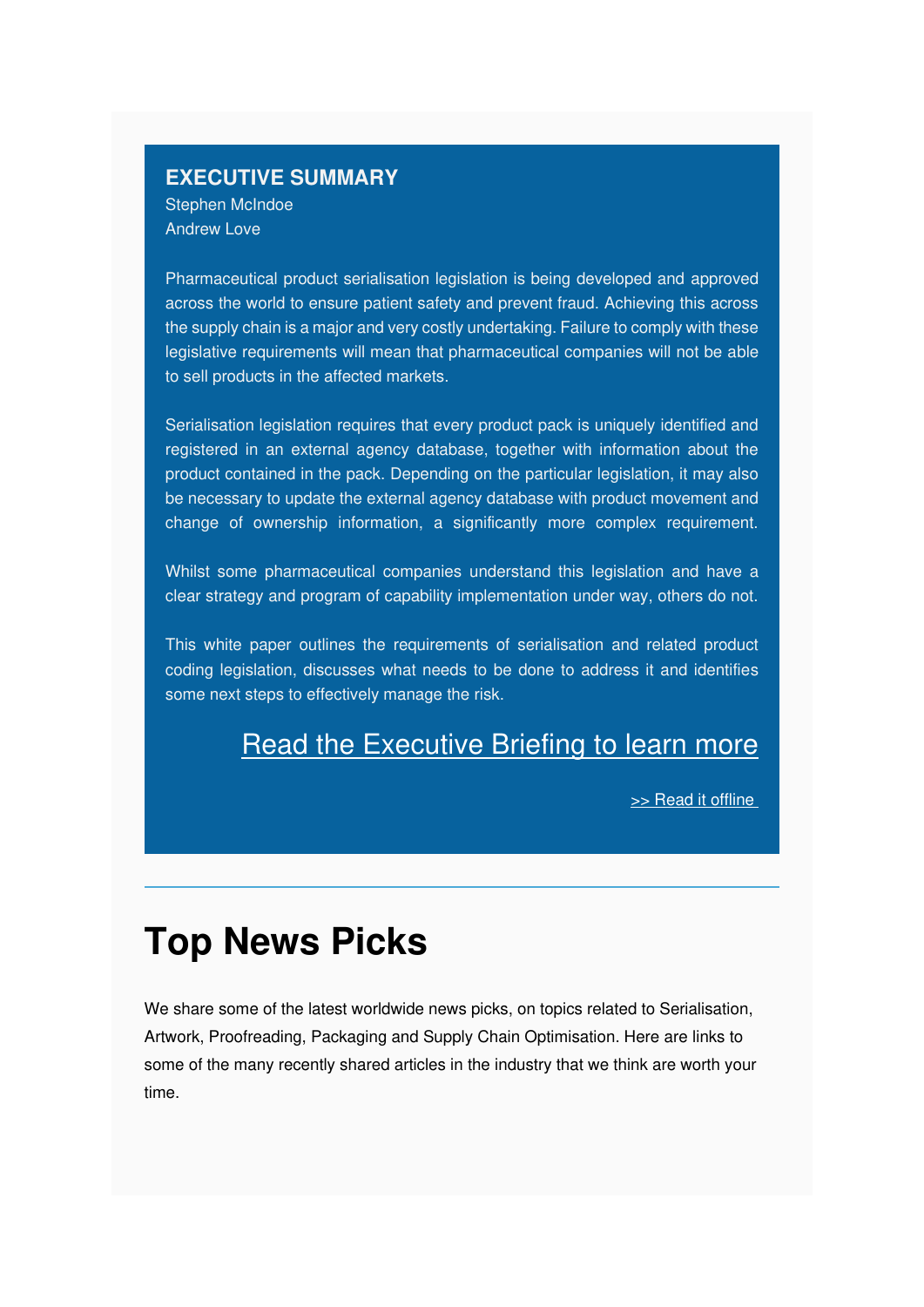#### **EXECUTIVE SUMMARY** Stephen McIndoe

Andrew Love

Pharmaceutical product serialisation legislation is being developed and approved across the world to ensure patient safety and prevent fraud. Achieving this across the supply chain is a major and very costly undertaking. Failure to comply with these legislative requirements will mean that pharmaceutical companies will not be able to sell products in the affected markets.

Serialisation legislation requires that every product pack is uniquely identified and registered in an external agency database, together with information about the product contained in the pack. Depending on the particular legislation, it may also be necessary to update the external agency database with product movement and change of ownership information, a significantly more complex requirement.

Whilst some pharmaceutical companies understand this legislation and have a clear strategy and program of capability implementation under way, others do not.

This white paper outlines the requirements of serialisation and related product coding legislation, discusses what needs to be done to address it and identifies some next steps to effectively manage the risk.

# [Read the Executive Briefing to learn more](https://mcusercontent.com/e26c7f2af713739ac392fa0ba/files/5f5fa2e8-0e35-46fa-9f61-ad9b9251f251/Responding_to_Pharma_Serialisation_Product_Coding_Legislation_Be4ward_1_.pdf)

[>> Read it offline](https://us5.campaign-archive.com/?u=e26c7f2af713739ac392fa0ba&id=3791b25595#Executive%20Briefing) 

# **Top News Picks**

We share some of the latest worldwide news picks, on topics related to Serialisation, Artwork, Proofreading, Packaging and Supply Chain Optimisation. Here are links to some of the many recently shared articles in the industry that we think are worth your time.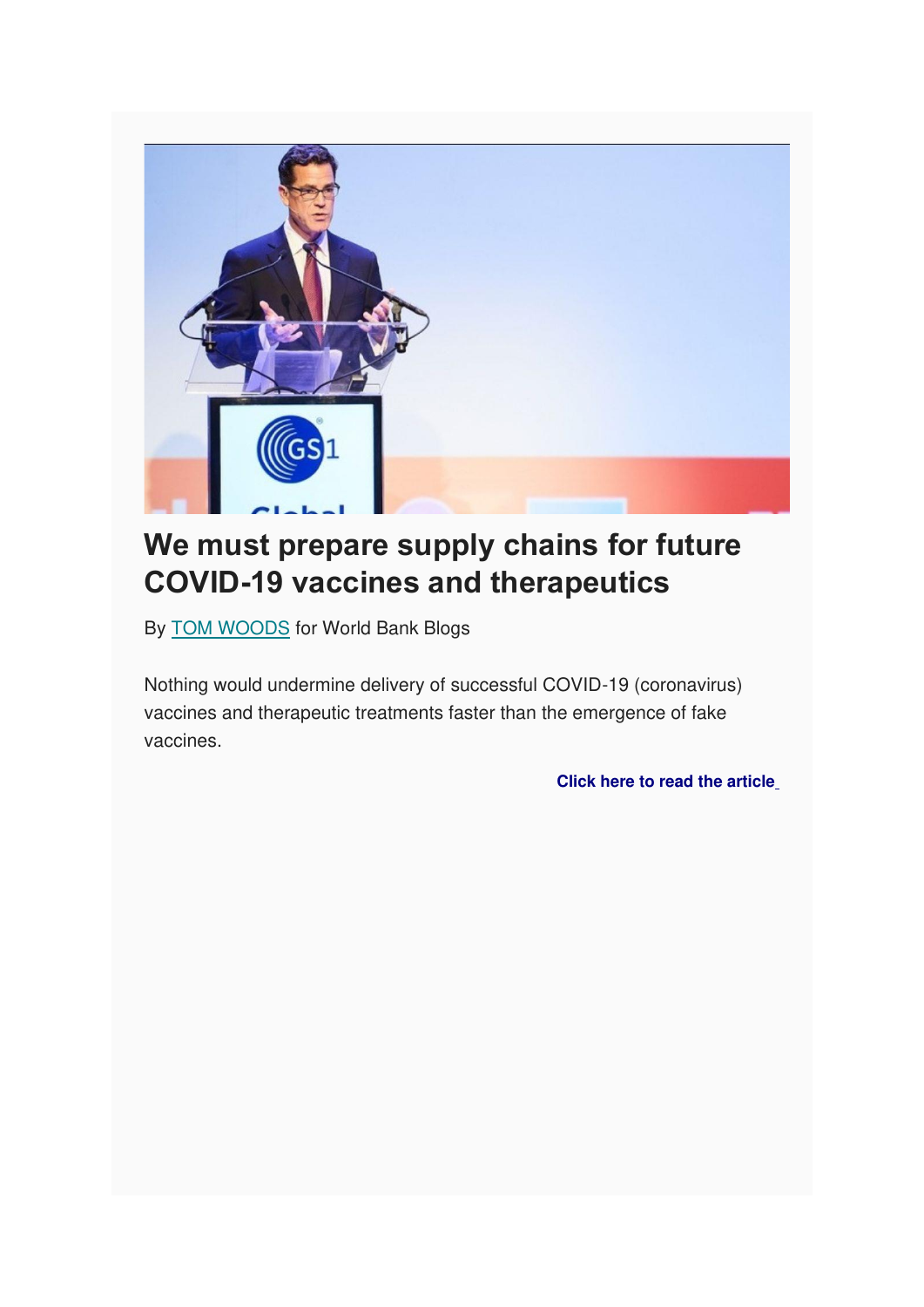

# **We must prepare supply chains for future COVID-19 vaccines and therapeutics**

By [TOM WOODS](https://blogs.worldbank.org/team/tom-woods) for World Bank Blogs

Nothing would undermine delivery of successful COVID-19 (coronavirus) vaccines and therapeutic treatments faster than the emergence of fake vaccines.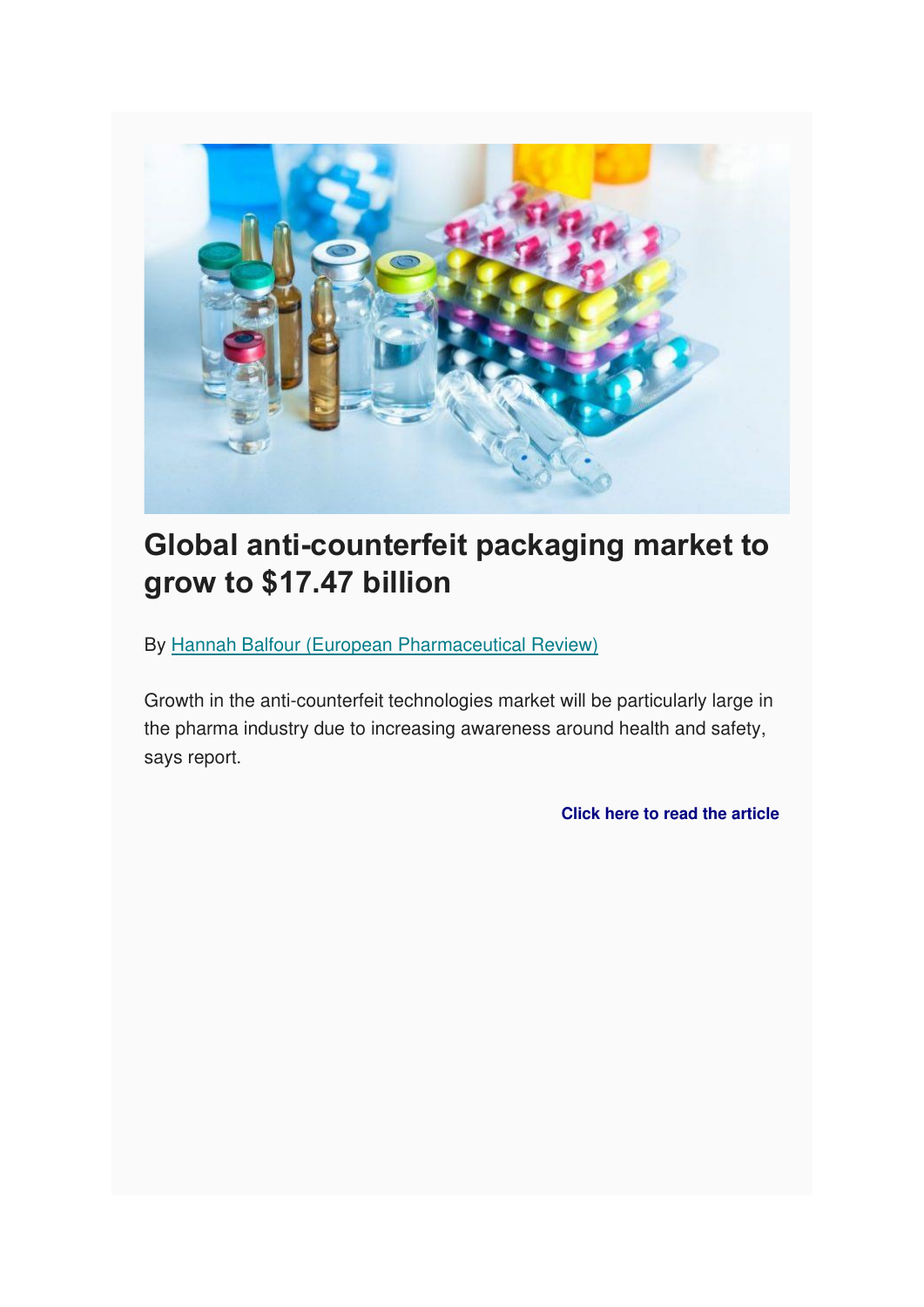

# **Global anti-counterfeit packaging market to grow to \$17.47 billion**

By [Hannah Balfour \(European Pharmaceutical Review\)](https://www.europeanpharmaceuticalreview.com/content_author/hannah-balfour-european-pharmaceutical-review/)

Growth in the anti-counterfeit technologies market will be particularly large in the pharma industry due to increasing awareness around health and safety, says report.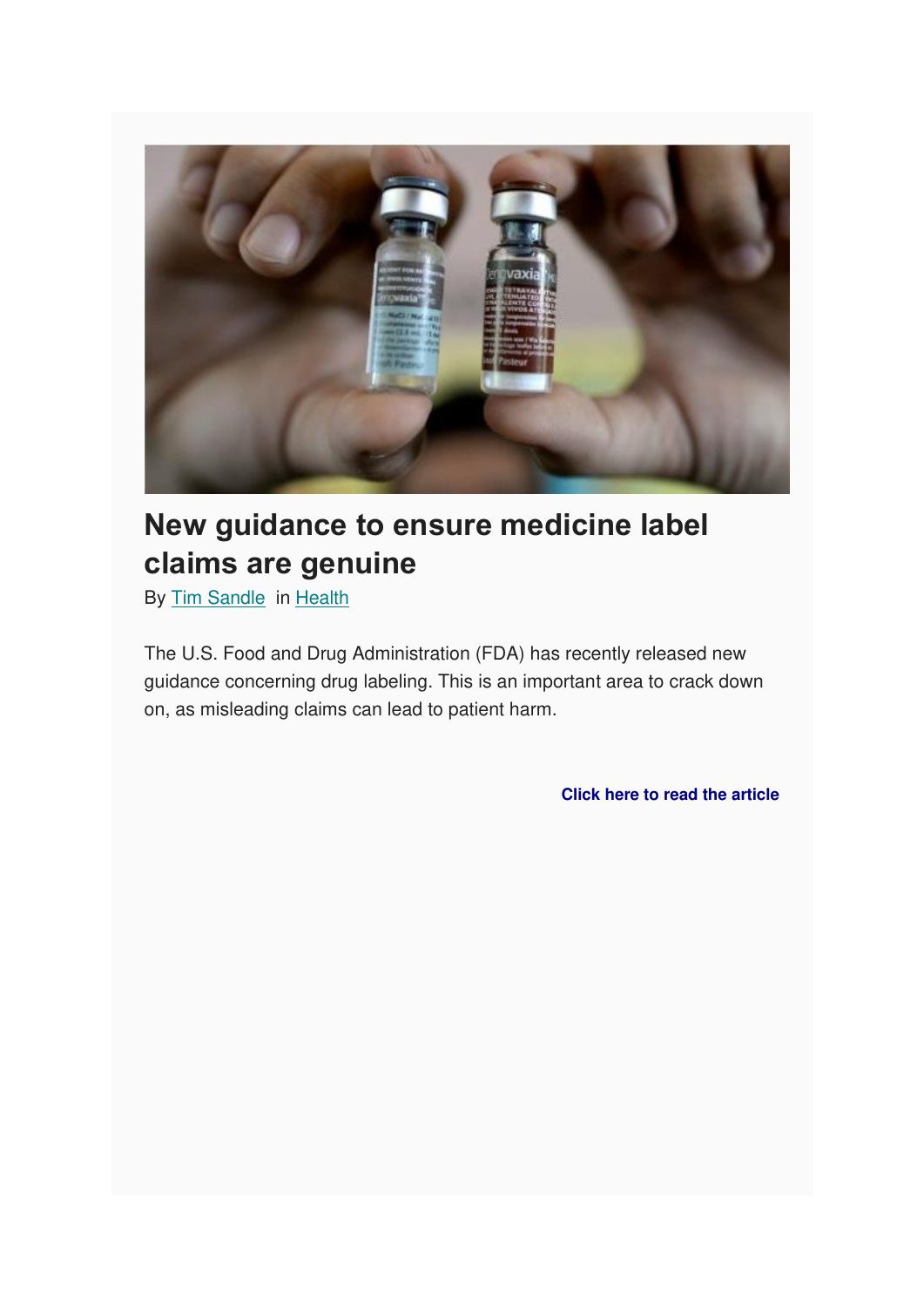

# **New guidance to ensure medicine label claims are genuine**

By [Tim Sandle](http://www.digitaljournal.com/user/429626) in [Health](http://www.digitaljournal.com/health)

The U.S. Food and Drug Administration (FDA) has recently released new guidance concerning drug labeling. This is an important area to crack down on, as misleading claims can lead to patient harm.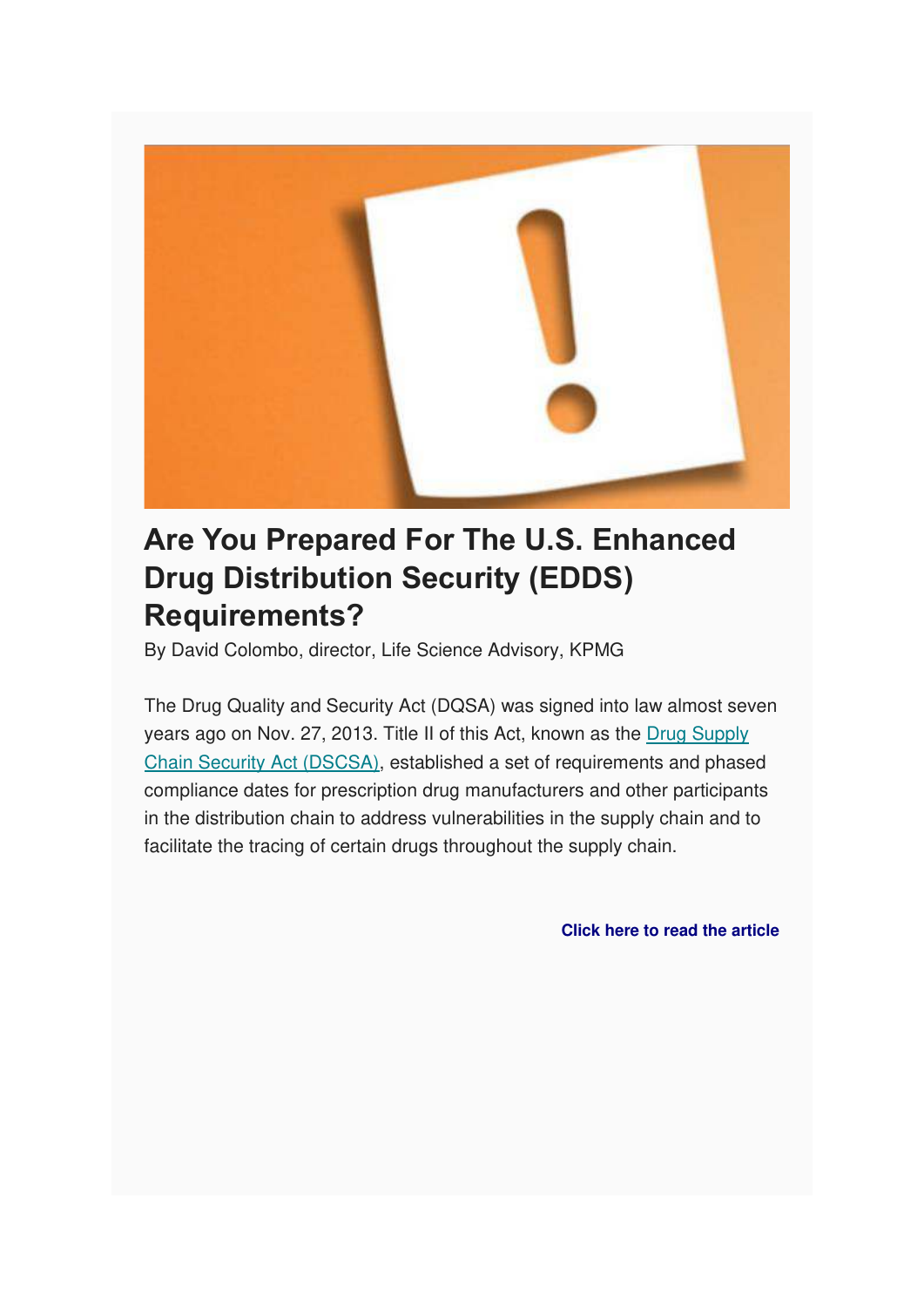

# **Are You Prepared For The U.S. Enhanced Drug Distribution Security (EDDS) Requirements?**

By David Colombo, director, Life Science Advisory, KPMG

The Drug Quality and Security Act (DQSA) was signed into law almost seven years ago on Nov. 27, 2013. Title II of this Act, known as the [Drug Supply](https://www.govinfo.gov/content/pkg/PLAW-113publ54/pdf/PLAW-113publ54.pdf)  [Chain Security Act \(DSCSA\),](https://www.govinfo.gov/content/pkg/PLAW-113publ54/pdf/PLAW-113publ54.pdf) established a set of requirements and phased compliance dates for prescription drug manufacturers and other participants in the distribution chain to address vulnerabilities in the supply chain and to facilitate the tracing of certain drugs throughout the supply chain.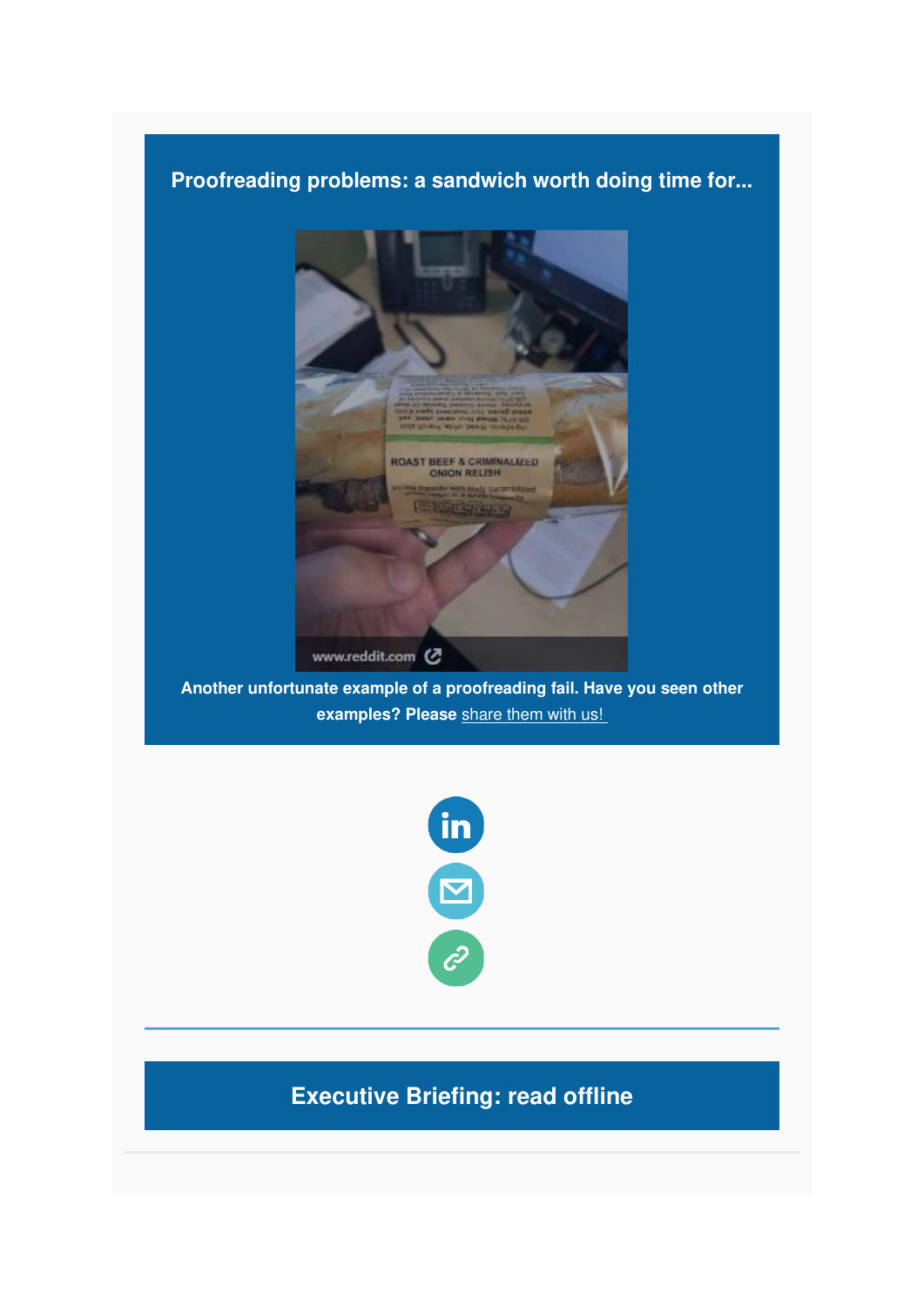### **Proofreading problems: a sandwich worth doing time for...**



**Another unfortunate example of a proofreading fail. Have you seen other examples? Please** [share them with us!](mailto:lucy.hinks@be4ward.com) 



## **Executive Briefing: read offline**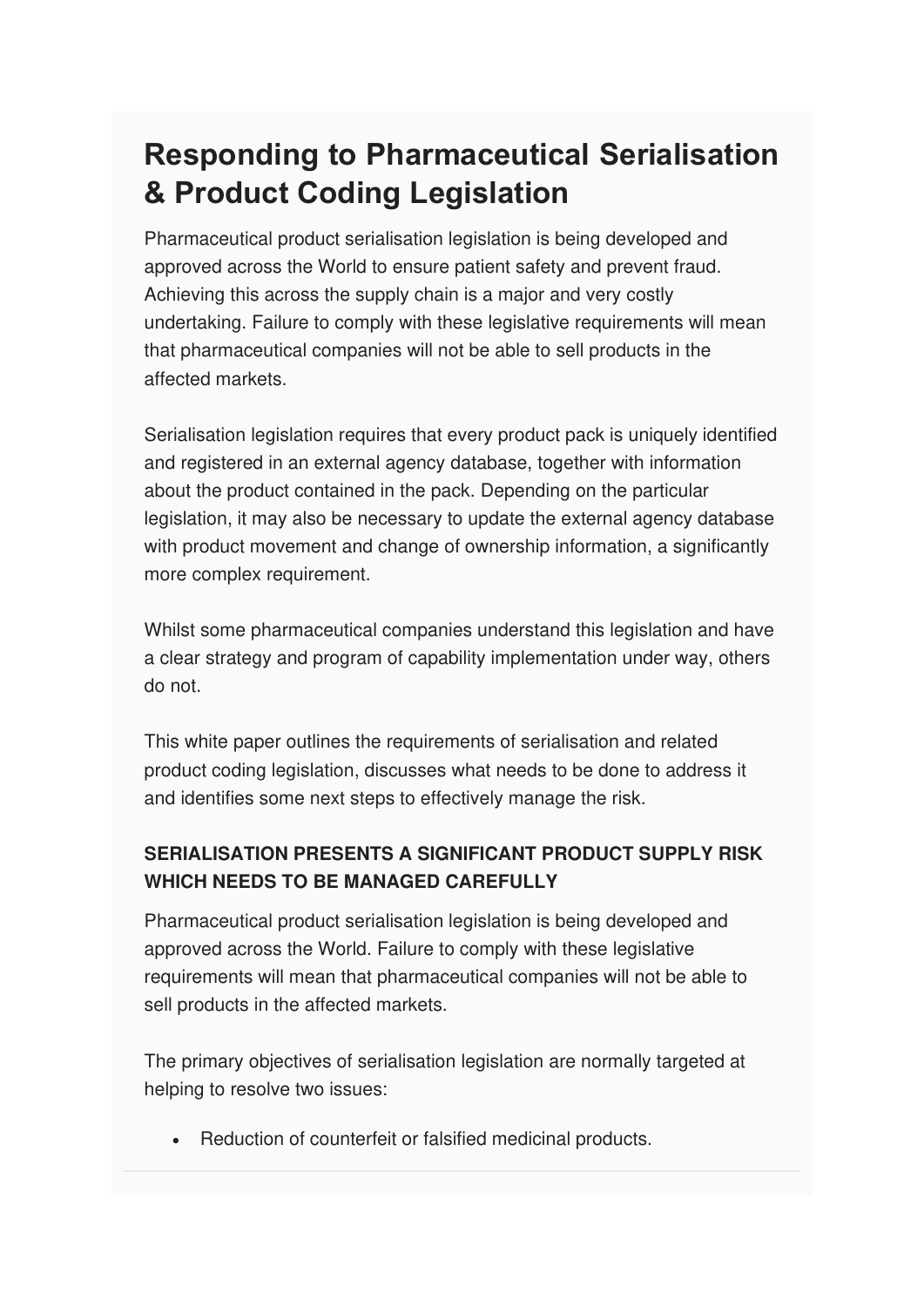# **Responding to Pharmaceutical Serialisation & Product Coding Legislation**

Pharmaceutical product serialisation legislation is being developed and approved across the World to ensure patient safety and prevent fraud. Achieving this across the supply chain is a major and very costly undertaking. Failure to comply with these legislative requirements will mean that pharmaceutical companies will not be able to sell products in the affected markets.

Serialisation legislation requires that every product pack is uniquely identified and registered in an external agency database, together with information about the product contained in the pack. Depending on the particular legislation, it may also be necessary to update the external agency database with product movement and change of ownership information, a significantly more complex requirement.

Whilst some pharmaceutical companies understand this legislation and have a clear strategy and program of capability implementation under way, others do not.

This white paper outlines the requirements of serialisation and related product coding legislation, discusses what needs to be done to address it and identifies some next steps to effectively manage the risk.

### **SERIALISATION PRESENTS A SIGNIFICANT PRODUCT SUPPLY RISK WHICH NEEDS TO BE MANAGED CAREFULLY**

Pharmaceutical product serialisation legislation is being developed and approved across the World. Failure to comply with these legislative requirements will mean that pharmaceutical companies will not be able to sell products in the affected markets.

The primary objectives of serialisation legislation are normally targeted at helping to resolve two issues:

• Reduction of counterfeit or falsified medicinal products.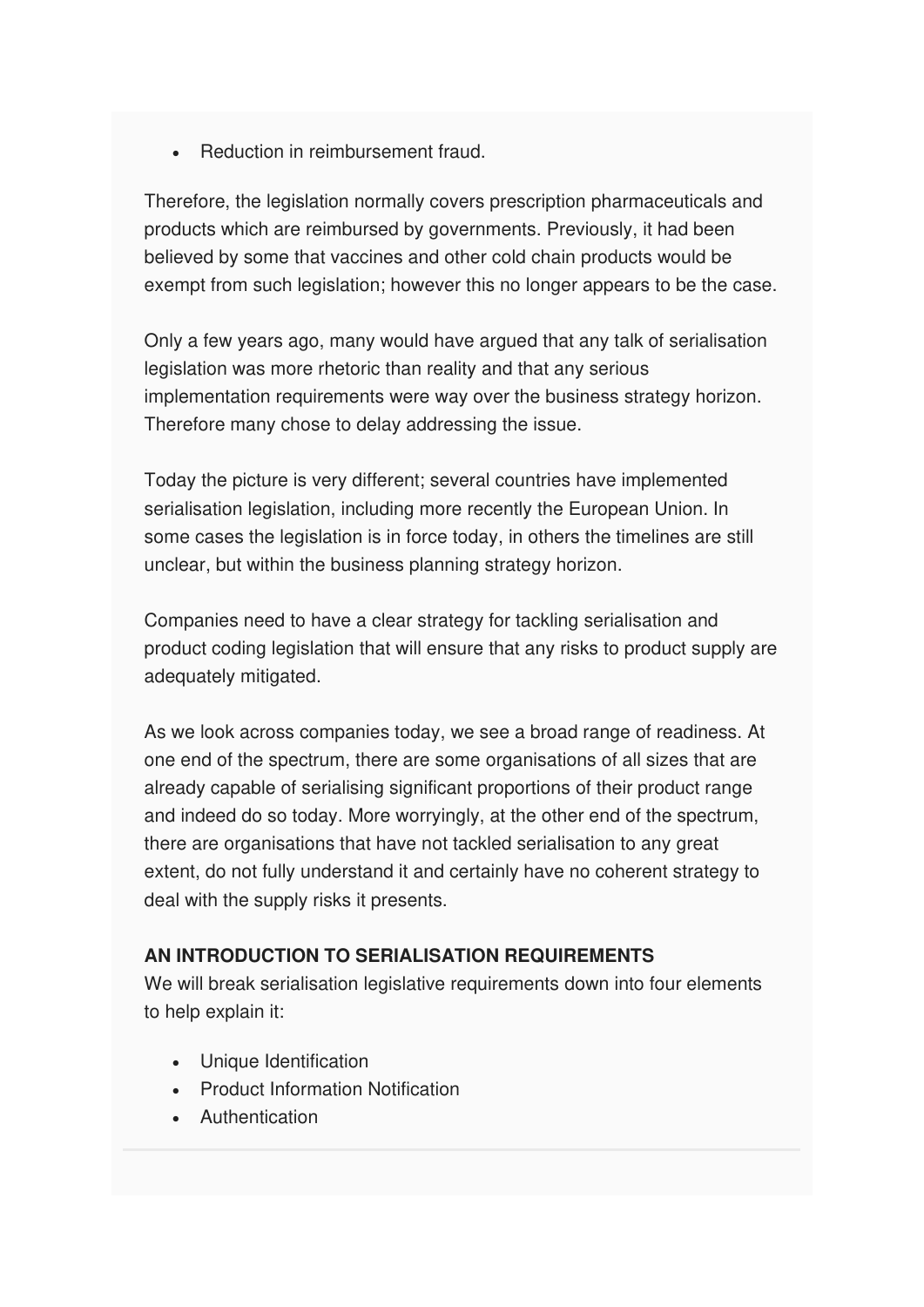• Reduction in reimbursement fraud.

Therefore, the legislation normally covers prescription pharmaceuticals and products which are reimbursed by governments. Previously, it had been believed by some that vaccines and other cold chain products would be exempt from such legislation; however this no longer appears to be the case.

Only a few years ago, many would have argued that any talk of serialisation legislation was more rhetoric than reality and that any serious implementation requirements were way over the business strategy horizon. Therefore many chose to delay addressing the issue.

Today the picture is very different; several countries have implemented serialisation legislation, including more recently the European Union. In some cases the legislation is in force today, in others the timelines are still unclear, but within the business planning strategy horizon.

Companies need to have a clear strategy for tackling serialisation and product coding legislation that will ensure that any risks to product supply are adequately mitigated.

As we look across companies today, we see a broad range of readiness. At one end of the spectrum, there are some organisations of all sizes that are already capable of serialising significant proportions of their product range and indeed do so today. More worryingly, at the other end of the spectrum, there are organisations that have not tackled serialisation to any great extent, do not fully understand it and certainly have no coherent strategy to deal with the supply risks it presents.

#### **AN INTRODUCTION TO SERIALISATION REQUIREMENTS**

We will break serialisation legislative requirements down into four elements to help explain it:

- Unique Identification
- Product Information Notification
- Authentication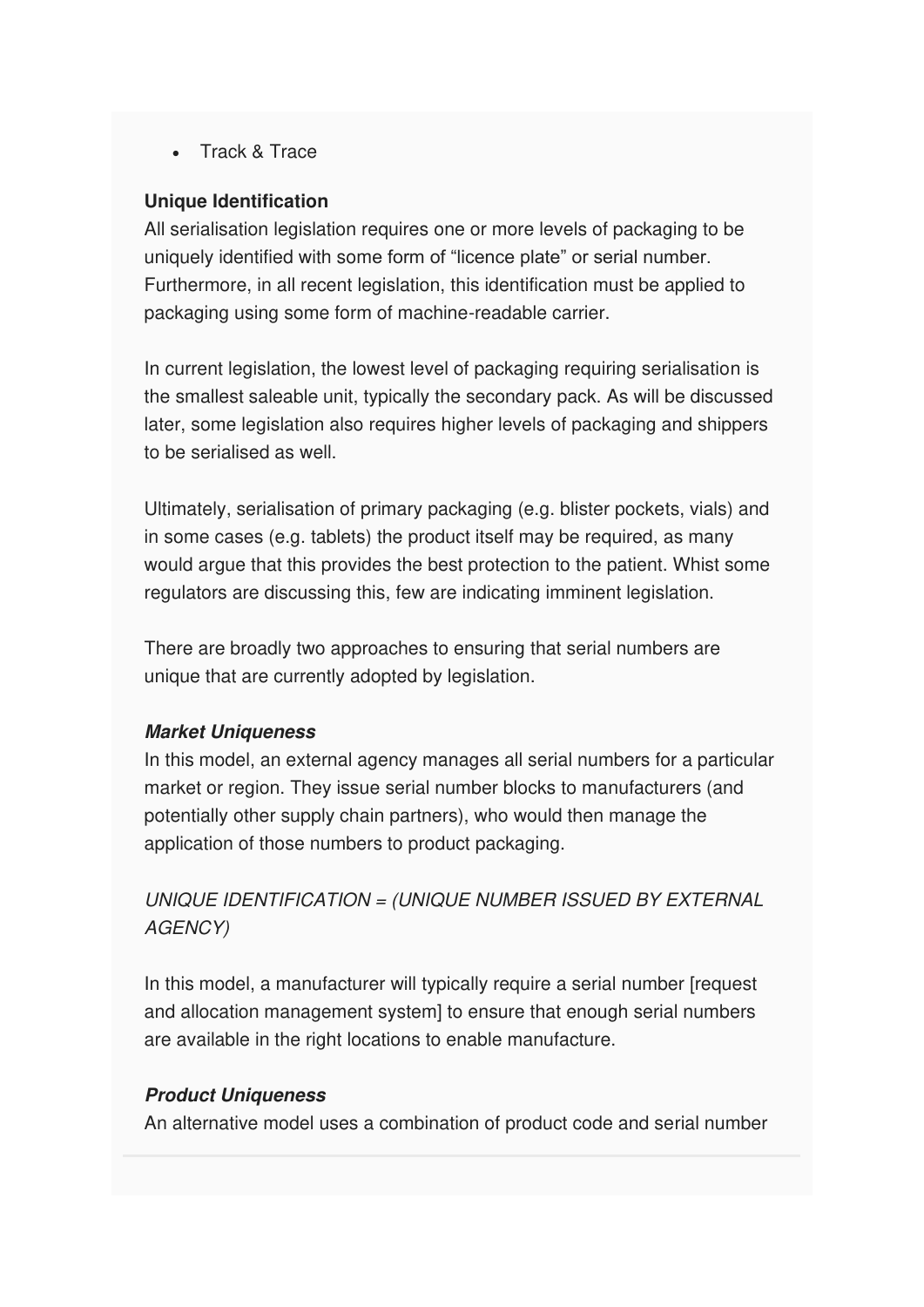• Track & Trace

#### **Unique Identification**

All serialisation legislation requires one or more levels of packaging to be uniquely identified with some form of "licence plate" or serial number. Furthermore, in all recent legislation, this identification must be applied to packaging using some form of machine-readable carrier.

In current legislation, the lowest level of packaging requiring serialisation is the smallest saleable unit, typically the secondary pack. As will be discussed later, some legislation also requires higher levels of packaging and shippers to be serialised as well.

Ultimately, serialisation of primary packaging (e.g. blister pockets, vials) and in some cases (e.g. tablets) the product itself may be required, as many would argue that this provides the best protection to the patient. Whist some regulators are discussing this, few are indicating imminent legislation.

There are broadly two approaches to ensuring that serial numbers are unique that are currently adopted by legislation.

#### **Market Uniqueness**

In this model, an external agency manages all serial numbers for a particular market or region. They issue serial number blocks to manufacturers (and potentially other supply chain partners), who would then manage the application of those numbers to product packaging.

UNIQUE IDENTIFICATION = (UNIQUE NUMBER ISSUED BY EXTERNAL AGENCY)

In this model, a manufacturer will typically require a serial number [request and allocation management system] to ensure that enough serial numbers are available in the right locations to enable manufacture.

#### **Product Uniqueness**

An alternative model uses a combination of product code and serial number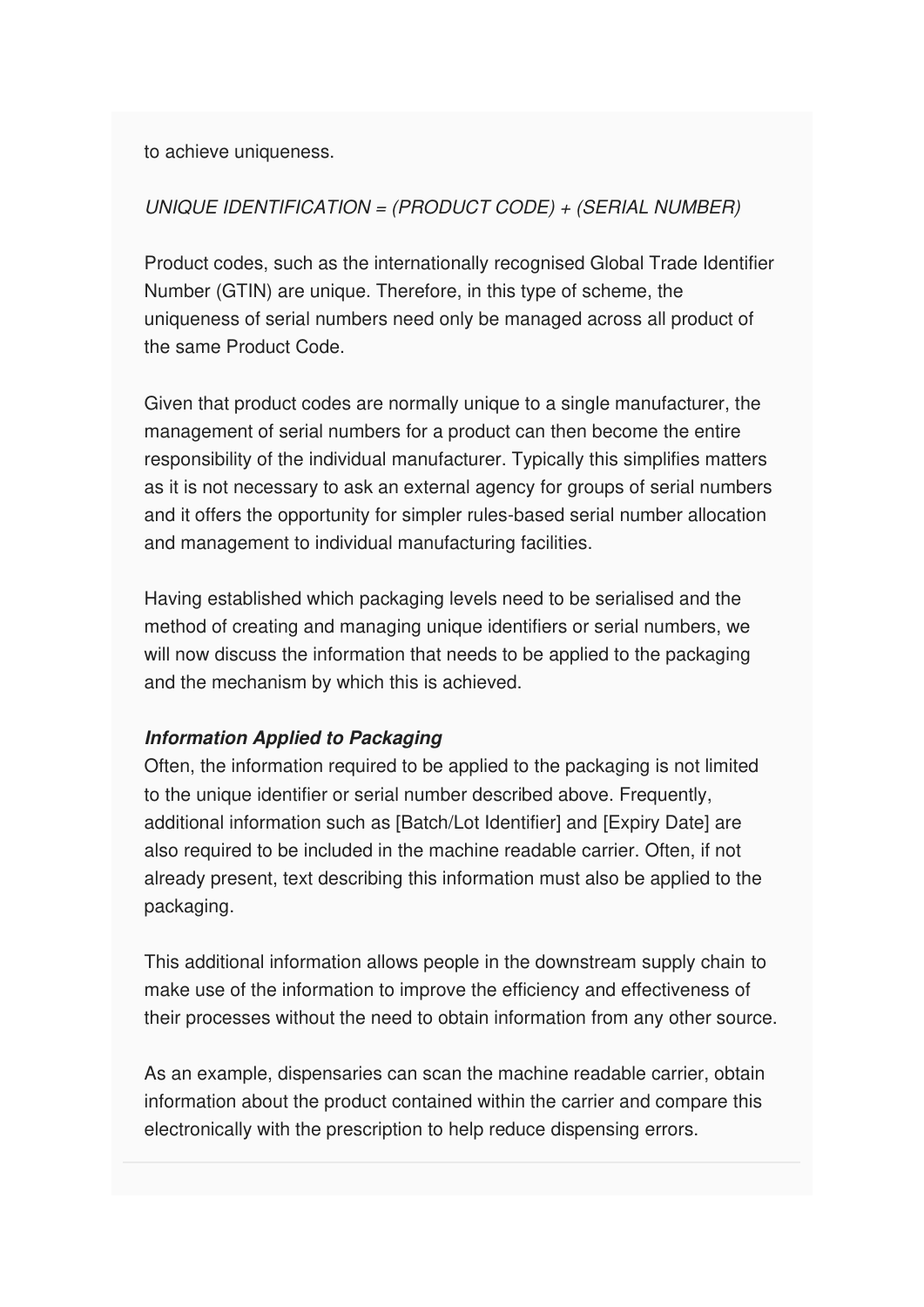to achieve uniqueness.

#### UNIQUE IDENTIFICATION = (PRODUCT CODE) + (SERIAL NUMBER)

Product codes, such as the internationally recognised Global Trade Identifier Number (GTIN) are unique. Therefore, in this type of scheme, the uniqueness of serial numbers need only be managed across all product of the same Product Code.

Given that product codes are normally unique to a single manufacturer, the management of serial numbers for a product can then become the entire responsibility of the individual manufacturer. Typically this simplifies matters as it is not necessary to ask an external agency for groups of serial numbers and it offers the opportunity for simpler rules-based serial number allocation and management to individual manufacturing facilities.

Having established which packaging levels need to be serialised and the method of creating and managing unique identifiers or serial numbers, we will now discuss the information that needs to be applied to the packaging and the mechanism by which this is achieved.

#### **Information Applied to Packaging**

Often, the information required to be applied to the packaging is not limited to the unique identifier or serial number described above. Frequently, additional information such as [Batch/Lot Identifier] and [Expiry Date] are also required to be included in the machine readable carrier. Often, if not already present, text describing this information must also be applied to the packaging.

This additional information allows people in the downstream supply chain to make use of the information to improve the efficiency and effectiveness of their processes without the need to obtain information from any other source.

As an example, dispensaries can scan the machine readable carrier, obtain information about the product contained within the carrier and compare this electronically with the prescription to help reduce dispensing errors.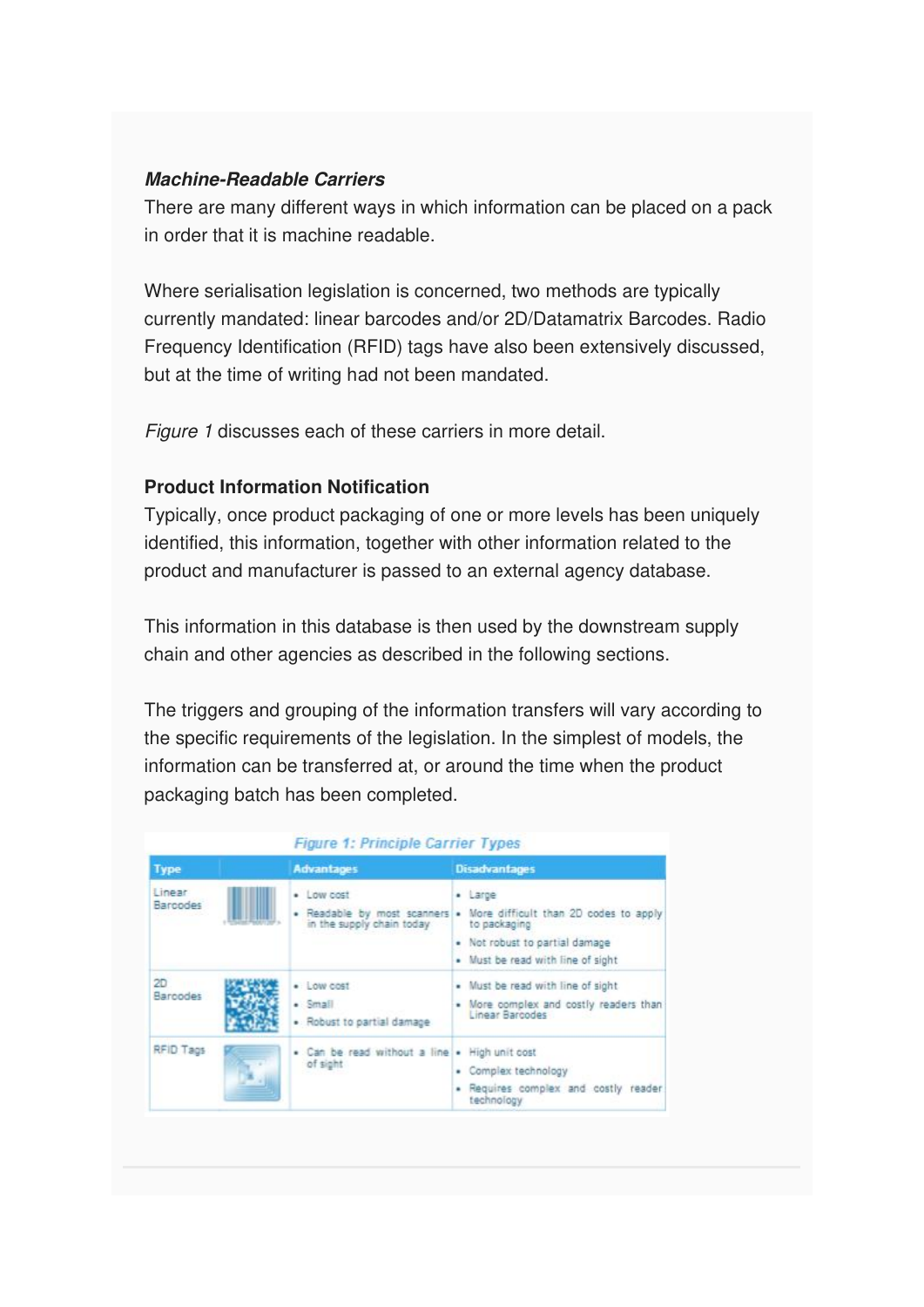#### **Machine-Readable Carriers**

There are many different ways in which information can be placed on a pack in order that it is machine readable.

Where serialisation legislation is concerned, two methods are typically currently mandated: linear barcodes and/or 2D/Datamatrix Barcodes. Radio Frequency Identification (RFID) tags have also been extensively discussed, but at the time of writing had not been mandated.

Figure 1 discusses each of these carriers in more detail.

#### **Product Information Notification**

Typically, once product packaging of one or more levels has been uniquely identified, this information, together with other information related to the product and manufacturer is passed to an external agency database.

This information in this database is then used by the downstream supply chain and other agencies as described in the following sections.

The triggers and grouping of the information transfers will vary according to the specific requirements of the legislation. In the simplest of models, the information can be transferred at, or around the time when the product packaging batch has been completed.

|                           | <b>Figure 1: Principle Carrier Types</b>                      |                                                                                                                                                                       |
|---------------------------|---------------------------------------------------------------|-----------------------------------------------------------------------------------------------------------------------------------------------------------------------|
| <b>Type</b>               | <b>Advantages</b>                                             | <b>Disadvantages</b>                                                                                                                                                  |
| Linear<br><b>Barcodes</b> | · Low cost<br>in the supply chain today                       | · Large<br>. Readable by most scanners . More difficult than 2D codes to apply<br>to packaging<br>. Not robust to partial damage<br>. Must be read with line of sight |
| 2D<br>Barcodes            | $\bullet$ Low cost<br>$-$ Small<br>· Robust to partial damage | . Must be read with line of sight.<br>. More complex and costly readers than<br>Linear Barcodes                                                                       |
| RFID Tags                 | . Can be read without a line . High unit cost<br>of sight     | - Complex technology<br>. Requires complex and costly reader<br>technology                                                                                            |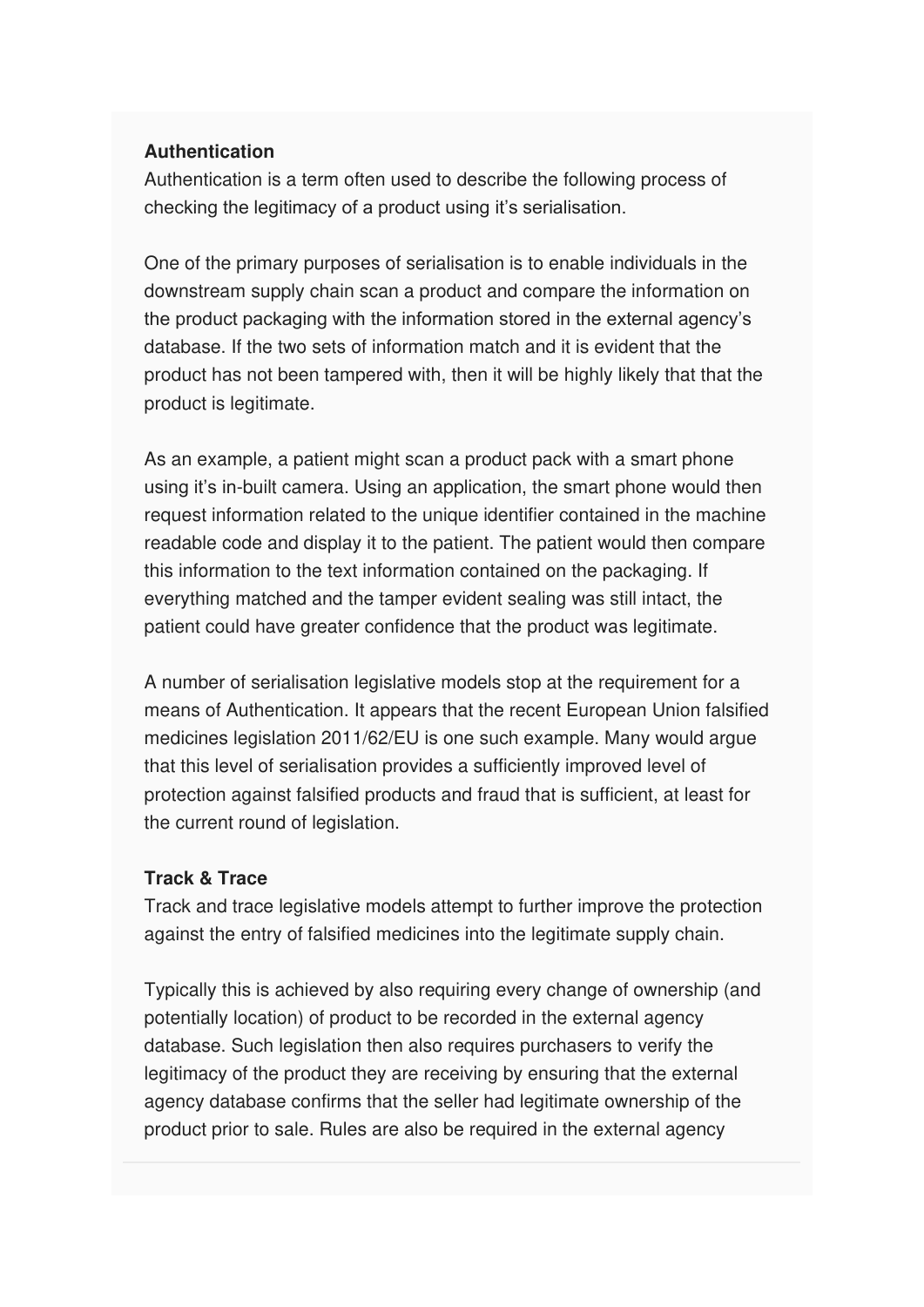#### **Authentication**

Authentication is a term often used to describe the following process of checking the legitimacy of a product using it's serialisation.

One of the primary purposes of serialisation is to enable individuals in the downstream supply chain scan a product and compare the information on the product packaging with the information stored in the external agency's database. If the two sets of information match and it is evident that the product has not been tampered with, then it will be highly likely that that the product is legitimate.

As an example, a patient might scan a product pack with a smart phone using it's in-built camera. Using an application, the smart phone would then request information related to the unique identifier contained in the machine readable code and display it to the patient. The patient would then compare this information to the text information contained on the packaging. If everything matched and the tamper evident sealing was still intact, the patient could have greater confidence that the product was legitimate.

A number of serialisation legislative models stop at the requirement for a means of Authentication. It appears that the recent European Union falsified medicines legislation 2011/62/EU is one such example. Many would argue that this level of serialisation provides a sufficiently improved level of protection against falsified products and fraud that is sufficient, at least for the current round of legislation.

#### **Track & Trace**

Track and trace legislative models attempt to further improve the protection against the entry of falsified medicines into the legitimate supply chain.

Typically this is achieved by also requiring every change of ownership (and potentially location) of product to be recorded in the external agency database. Such legislation then also requires purchasers to verify the legitimacy of the product they are receiving by ensuring that the external agency database confirms that the seller had legitimate ownership of the product prior to sale. Rules are also be required in the external agency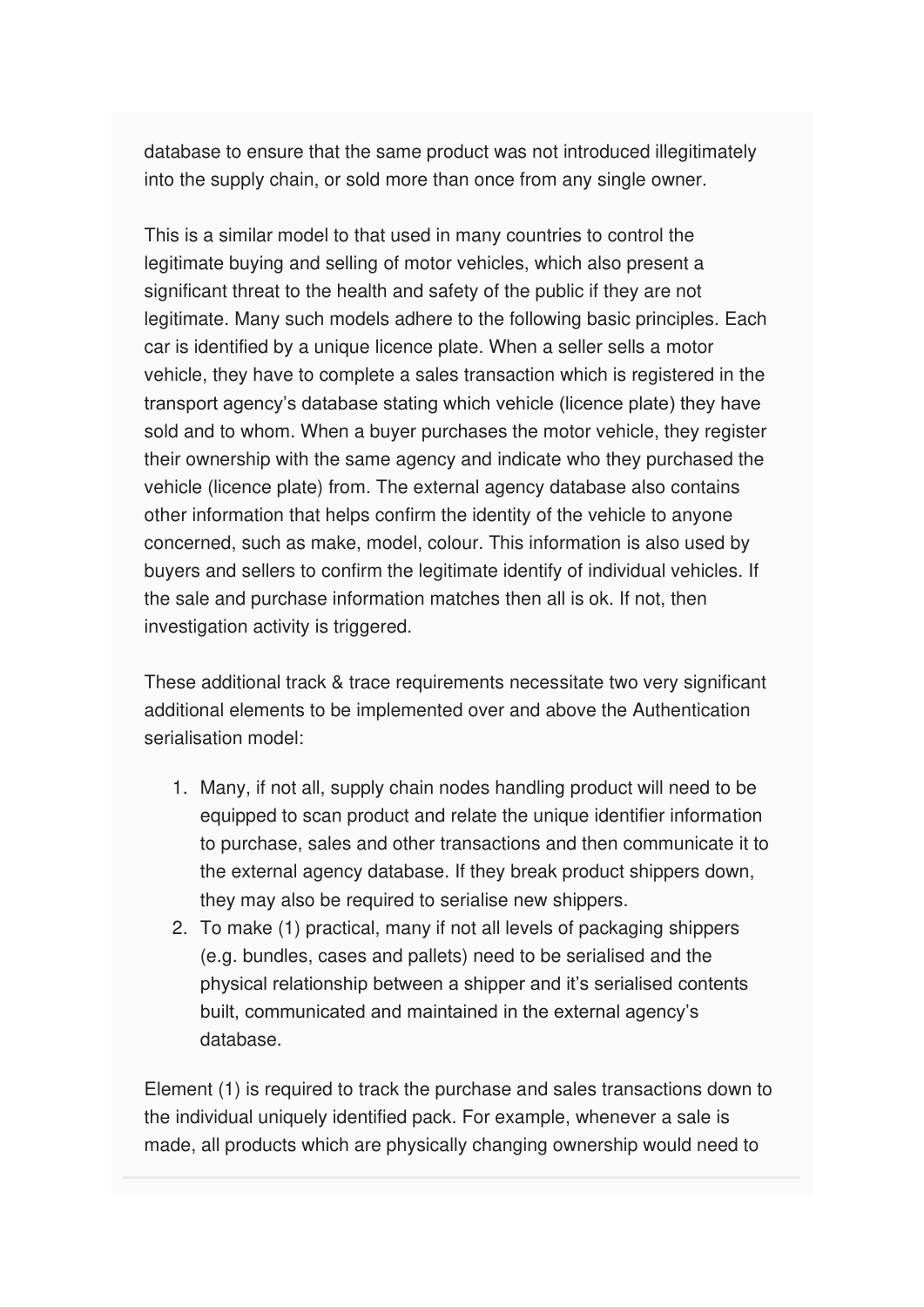database to ensure that the same product was not introduced illegitimately into the supply chain, or sold more than once from any single owner.

This is a similar model to that used in many countries to control the legitimate buying and selling of motor vehicles, which also present a significant threat to the health and safety of the public if they are not legitimate. Many such models adhere to the following basic principles. Each car is identified by a unique licence plate. When a seller sells a motor vehicle, they have to complete a sales transaction which is registered in the transport agency's database stating which vehicle (licence plate) they have sold and to whom. When a buyer purchases the motor vehicle, they register their ownership with the same agency and indicate who they purchased the vehicle (licence plate) from. The external agency database also contains other information that helps confirm the identity of the vehicle to anyone concerned, such as make, model, colour. This information is also used by buyers and sellers to confirm the legitimate identify of individual vehicles. If the sale and purchase information matches then all is ok. If not, then investigation activity is triggered.

These additional track & trace requirements necessitate two very significant additional elements to be implemented over and above the Authentication serialisation model:

- 1. Many, if not all, supply chain nodes handling product will need to be equipped to scan product and relate the unique identifier information to purchase, sales and other transactions and then communicate it to the external agency database. If they break product shippers down, they may also be required to serialise new shippers.
- 2. To make (1) practical, many if not all levels of packaging shippers (e.g. bundles, cases and pallets) need to be serialised and the physical relationship between a shipper and it's serialised contents built, communicated and maintained in the external agency's database.

Element (1) is required to track the purchase and sales transactions down to the individual uniquely identified pack. For example, whenever a sale is made, all products which are physically changing ownership would need to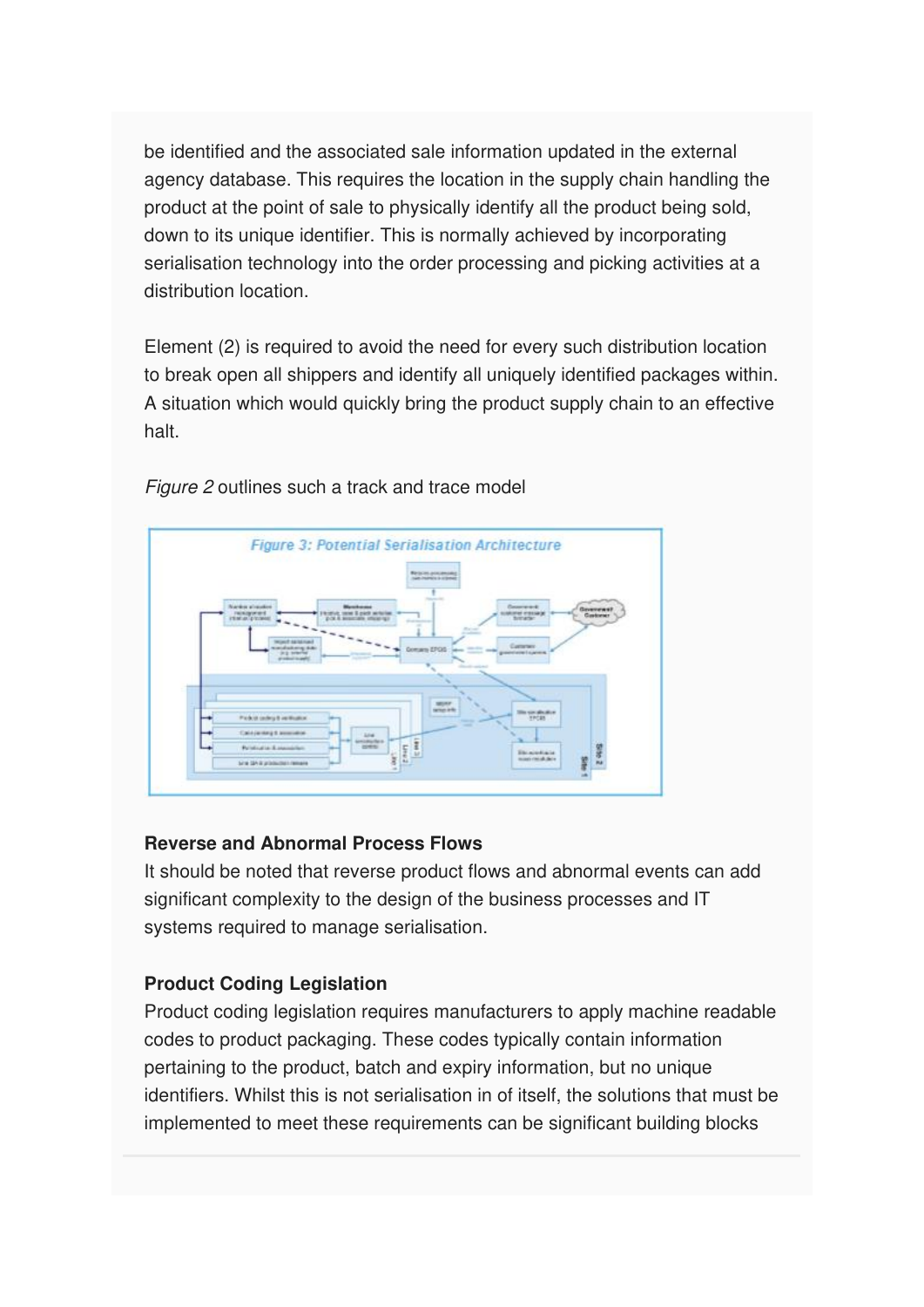be identified and the associated sale information updated in the external agency database. This requires the location in the supply chain handling the product at the point of sale to physically identify all the product being sold, down to its unique identifier. This is normally achieved by incorporating serialisation technology into the order processing and picking activities at a distribution location.

Element (2) is required to avoid the need for every such distribution location to break open all shippers and identify all uniquely identified packages within. A situation which would quickly bring the product supply chain to an effective halt.



Figure 2 outlines such a track and trace model

#### **Reverse and Abnormal Process Flows**

It should be noted that reverse product flows and abnormal events can add significant complexity to the design of the business processes and IT systems required to manage serialisation.

#### **Product Coding Legislation**

Product coding legislation requires manufacturers to apply machine readable codes to product packaging. These codes typically contain information pertaining to the product, batch and expiry information, but no unique identifiers. Whilst this is not serialisation in of itself, the solutions that must be implemented to meet these requirements can be significant building blocks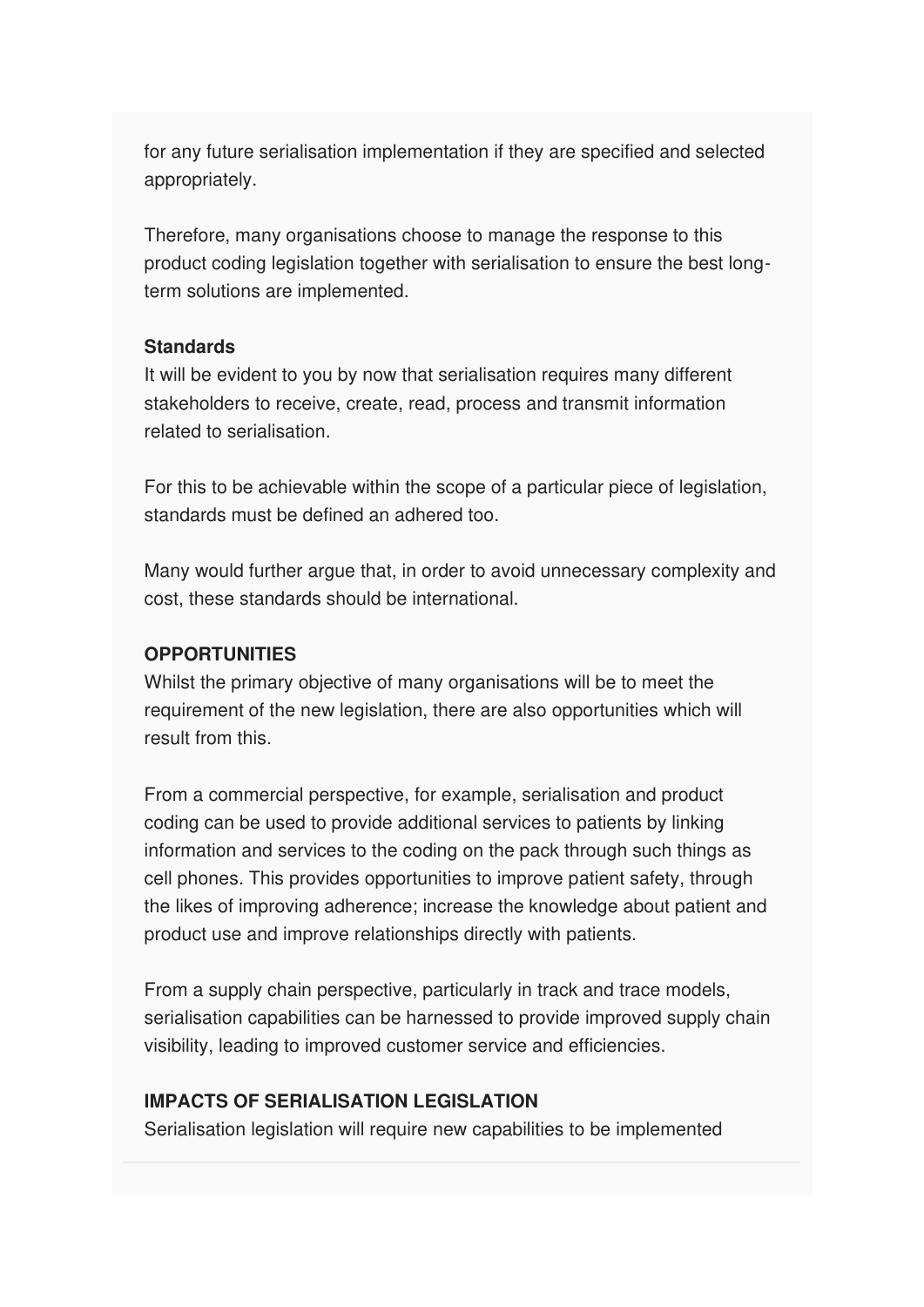for any future serialisation implementation if they are specified and selected appropriately.

Therefore, many organisations choose to manage the response to this product coding legislation together with serialisation to ensure the best longterm solutions are implemented.

#### **Standards**

It will be evident to you by now that serialisation requires many different stakeholders to receive, create, read, process and transmit information related to serialisation.

For this to be achievable within the scope of a particular piece of legislation, standards must be defined an adhered too.

Many would further argue that, in order to avoid unnecessary complexity and cost, these standards should be international.

#### **OPPORTUNITIES**

Whilst the primary objective of many organisations will be to meet the requirement of the new legislation, there are also opportunities which will result from this.

From a commercial perspective, for example, serialisation and product coding can be used to provide additional services to patients by linking information and services to the coding on the pack through such things as cell phones. This provides opportunities to improve patient safety, through the likes of improving adherence; increase the knowledge about patient and product use and improve relationships directly with patients.

From a supply chain perspective, particularly in track and trace models, serialisation capabilities can be harnessed to provide improved supply chain visibility, leading to improved customer service and efficiencies.

#### **IMPACTS OF SERIALISATION LEGISLATION**

Serialisation legislation will require new capabilities to be implemented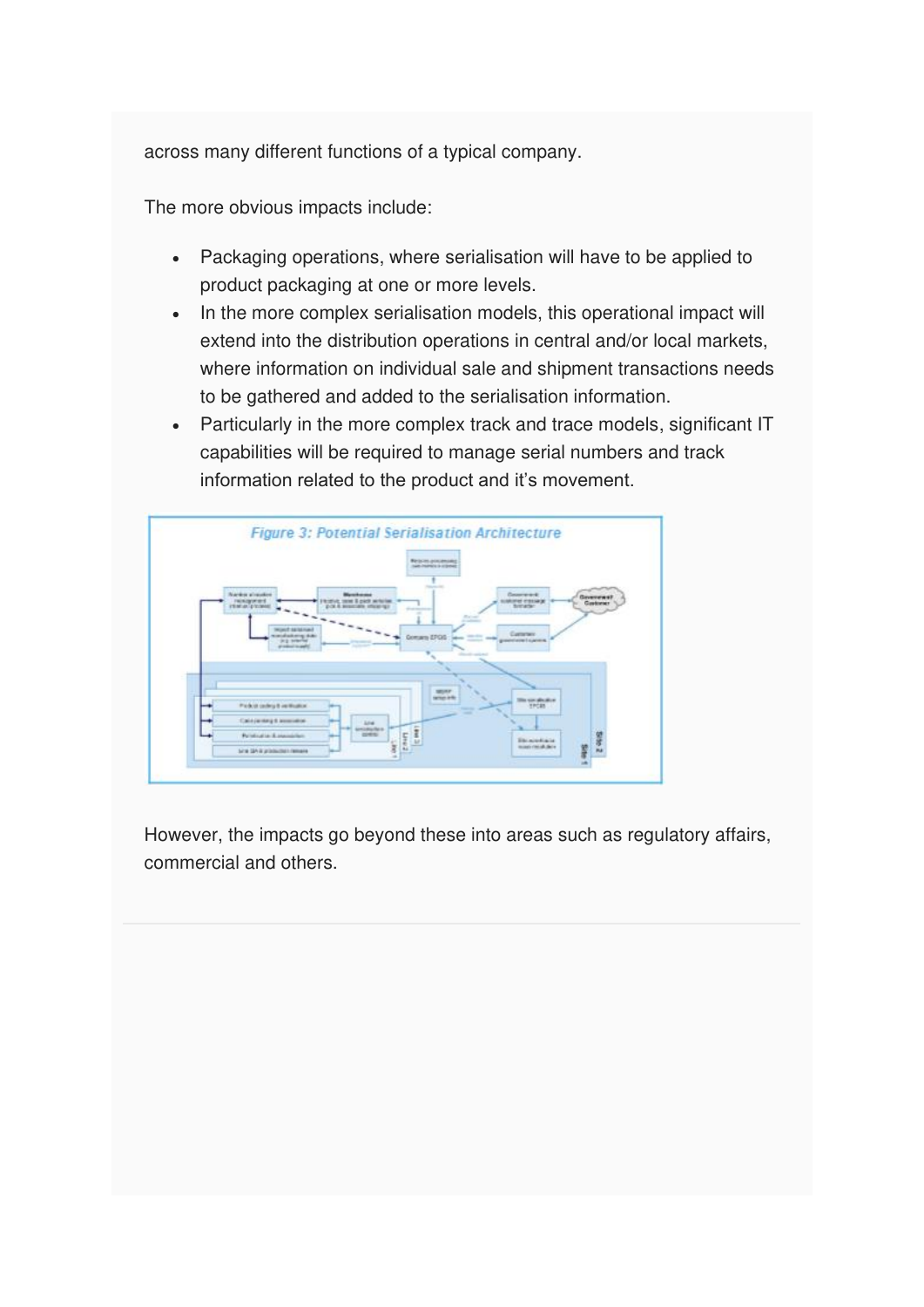across many different functions of a typical company.

The more obvious impacts include:

- Packaging operations, where serialisation will have to be applied to product packaging at one or more levels.
- In the more complex serialisation models, this operational impact will extend into the distribution operations in central and/or local markets, where information on individual sale and shipment transactions needs to be gathered and added to the serialisation information.
- Particularly in the more complex track and trace models, significant IT capabilities will be required to manage serial numbers and track information related to the product and it's movement.



However, the impacts go beyond these into areas such as regulatory affairs, commercial and others.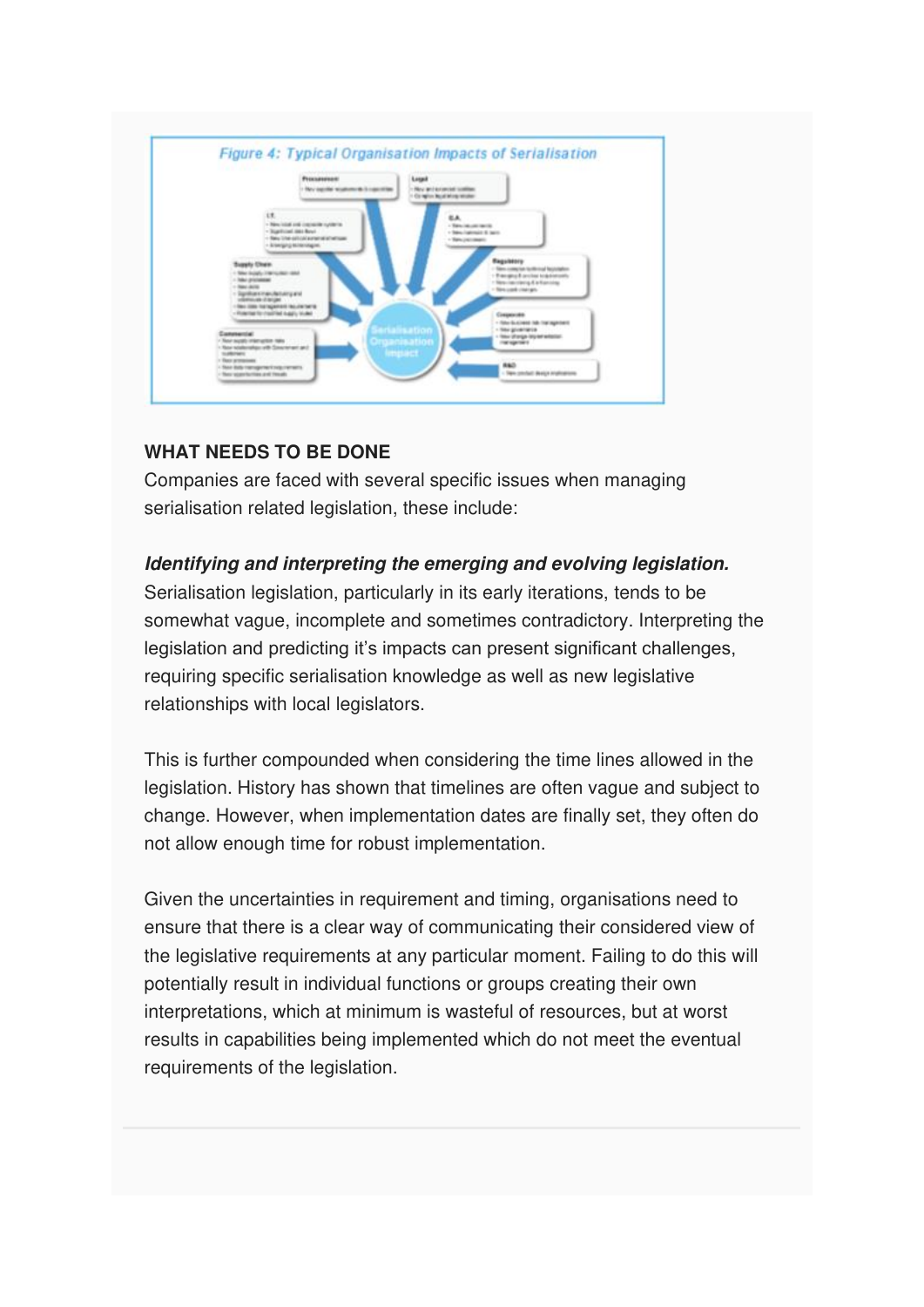

#### **WHAT NEEDS TO BE DONE**

Companies are faced with several specific issues when managing serialisation related legislation, these include:

#### **Identifying and interpreting the emerging and evolving legislation.**

Serialisation legislation, particularly in its early iterations, tends to be somewhat vague, incomplete and sometimes contradictory. Interpreting the legislation and predicting it's impacts can present significant challenges, requiring specific serialisation knowledge as well as new legislative relationships with local legislators.

This is further compounded when considering the time lines allowed in the legislation. History has shown that timelines are often vague and subject to change. However, when implementation dates are finally set, they often do not allow enough time for robust implementation.

Given the uncertainties in requirement and timing, organisations need to ensure that there is a clear way of communicating their considered view of the legislative requirements at any particular moment. Failing to do this will potentially result in individual functions or groups creating their own interpretations, which at minimum is wasteful of resources, but at worst results in capabilities being implemented which do not meet the eventual requirements of the legislation.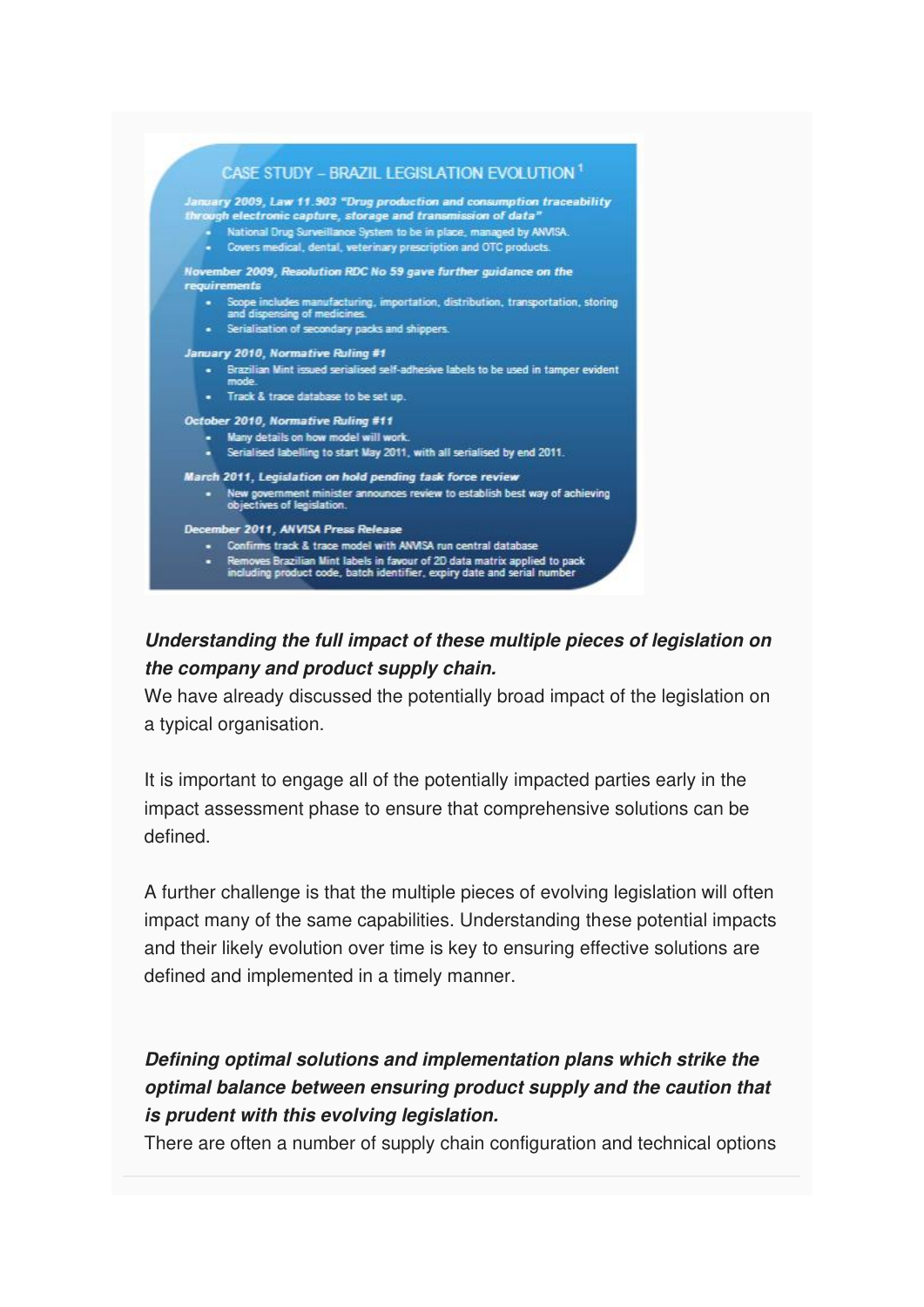

### **Understanding the full impact of these multiple pieces of legislation on the company and product supply chain.**

We have already discussed the potentially broad impact of the legislation on a typical organisation.

It is important to engage all of the potentially impacted parties early in the impact assessment phase to ensure that comprehensive solutions can be defined.

A further challenge is that the multiple pieces of evolving legislation will often impact many of the same capabilities. Understanding these potential impacts and their likely evolution over time is key to ensuring effective solutions are defined and implemented in a timely manner.

### **Defining optimal solutions and implementation plans which strike the optimal balance between ensuring product supply and the caution that is prudent with this evolving legislation.**

There are often a number of supply chain configuration and technical options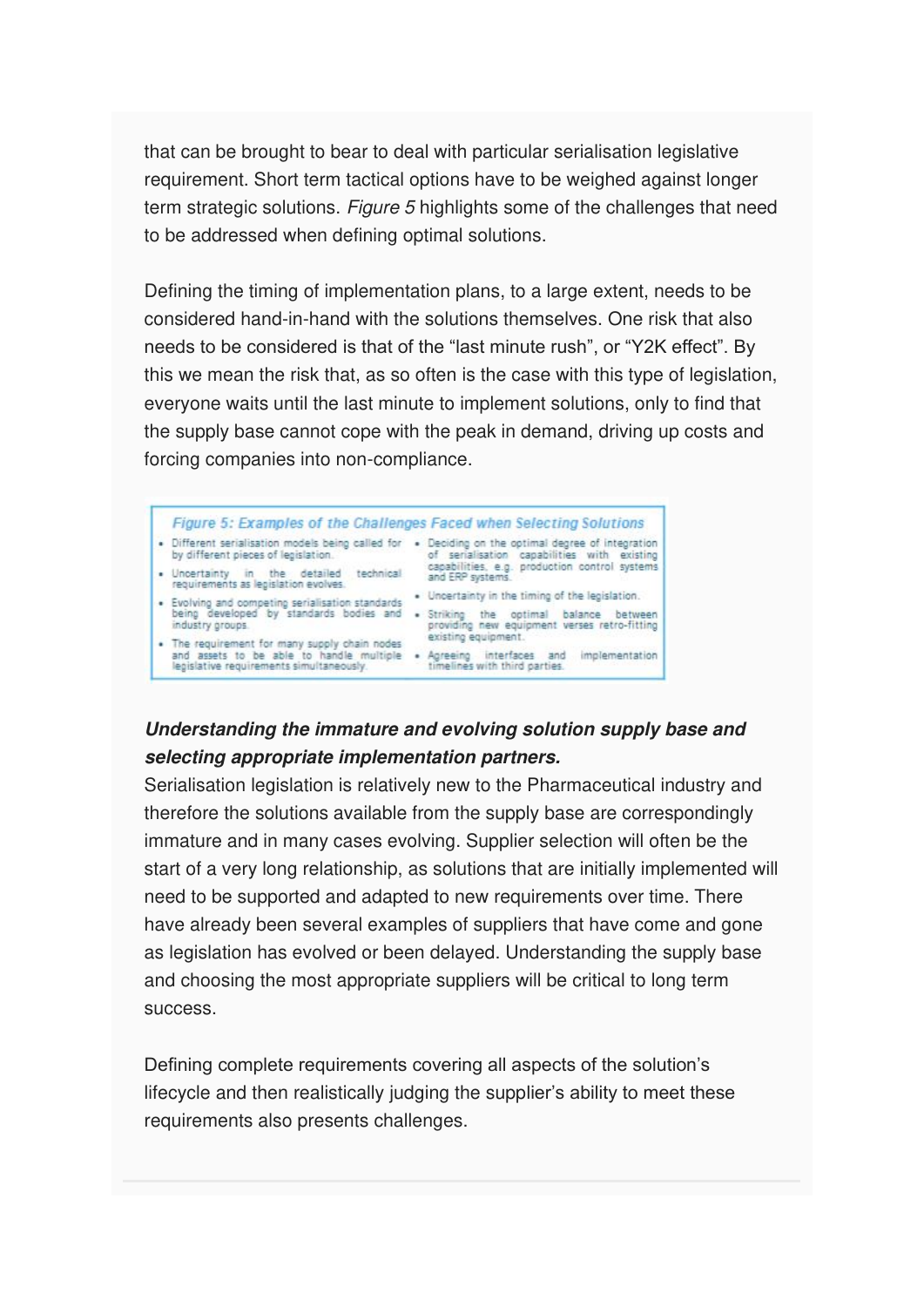that can be brought to bear to deal with particular serialisation legislative requirement. Short term tactical options have to be weighed against longer term strategic solutions. Figure 5 highlights some of the challenges that need to be addressed when defining optimal solutions.

Defining the timing of implementation plans, to a large extent, needs to be considered hand-in-hand with the solutions themselves. One risk that also needs to be considered is that of the "last minute rush", or "Y2K effect". By this we mean the risk that, as so often is the case with this type of legislation, everyone waits until the last minute to implement solutions, only to find that the supply base cannot cope with the peak in demand, driving up costs and forcing companies into non-compliance.



### **Understanding the immature and evolving solution supply base and selecting appropriate implementation partners.**

Serialisation legislation is relatively new to the Pharmaceutical industry and therefore the solutions available from the supply base are correspondingly immature and in many cases evolving. Supplier selection will often be the start of a very long relationship, as solutions that are initially implemented will need to be supported and adapted to new requirements over time. There have already been several examples of suppliers that have come and gone as legislation has evolved or been delayed. Understanding the supply base and choosing the most appropriate suppliers will be critical to long term success.

Defining complete requirements covering all aspects of the solution's lifecycle and then realistically judging the supplier's ability to meet these requirements also presents challenges.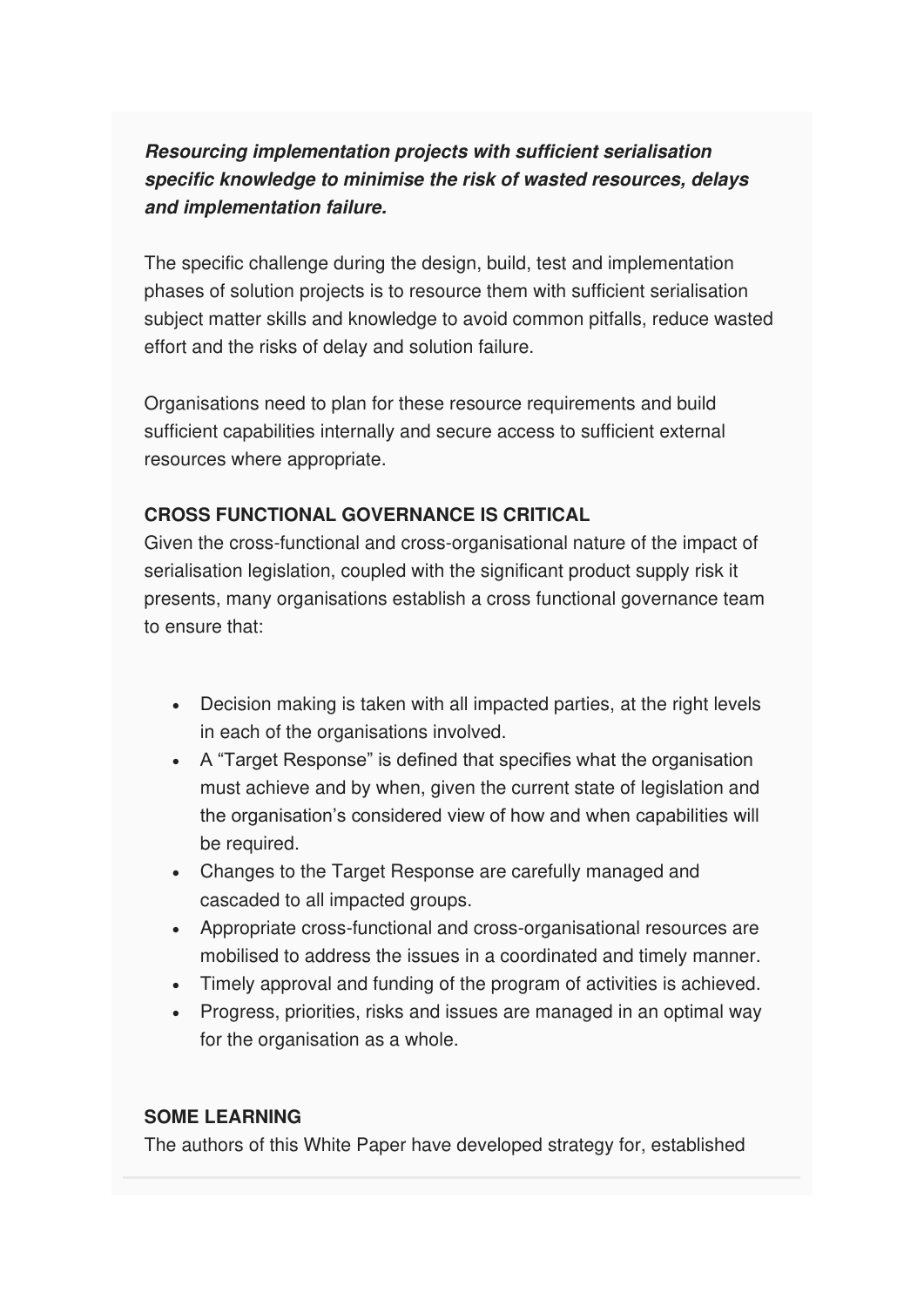### **Resourcing implementation projects with sufficient serialisation specific knowledge to minimise the risk of wasted resources, delays and implementation failure.**

The specific challenge during the design, build, test and implementation phases of solution projects is to resource them with sufficient serialisation subject matter skills and knowledge to avoid common pitfalls, reduce wasted effort and the risks of delay and solution failure.

Organisations need to plan for these resource requirements and build sufficient capabilities internally and secure access to sufficient external resources where appropriate.

#### **CROSS FUNCTIONAL GOVERNANCE IS CRITICAL**

Given the cross-functional and cross-organisational nature of the impact of serialisation legislation, coupled with the significant product supply risk it presents, many organisations establish a cross functional governance team to ensure that:

- Decision making is taken with all impacted parties, at the right levels in each of the organisations involved.
- A "Target Response" is defined that specifies what the organisation must achieve and by when, given the current state of legislation and the organisation's considered view of how and when capabilities will be required.
- Changes to the Target Response are carefully managed and cascaded to all impacted groups.
- Appropriate cross-functional and cross-organisational resources are mobilised to address the issues in a coordinated and timely manner.
- Timely approval and funding of the program of activities is achieved.
- Progress, priorities, risks and issues are managed in an optimal way for the organisation as a whole.

#### **SOME LEARNING**

The authors of this White Paper have developed strategy for, established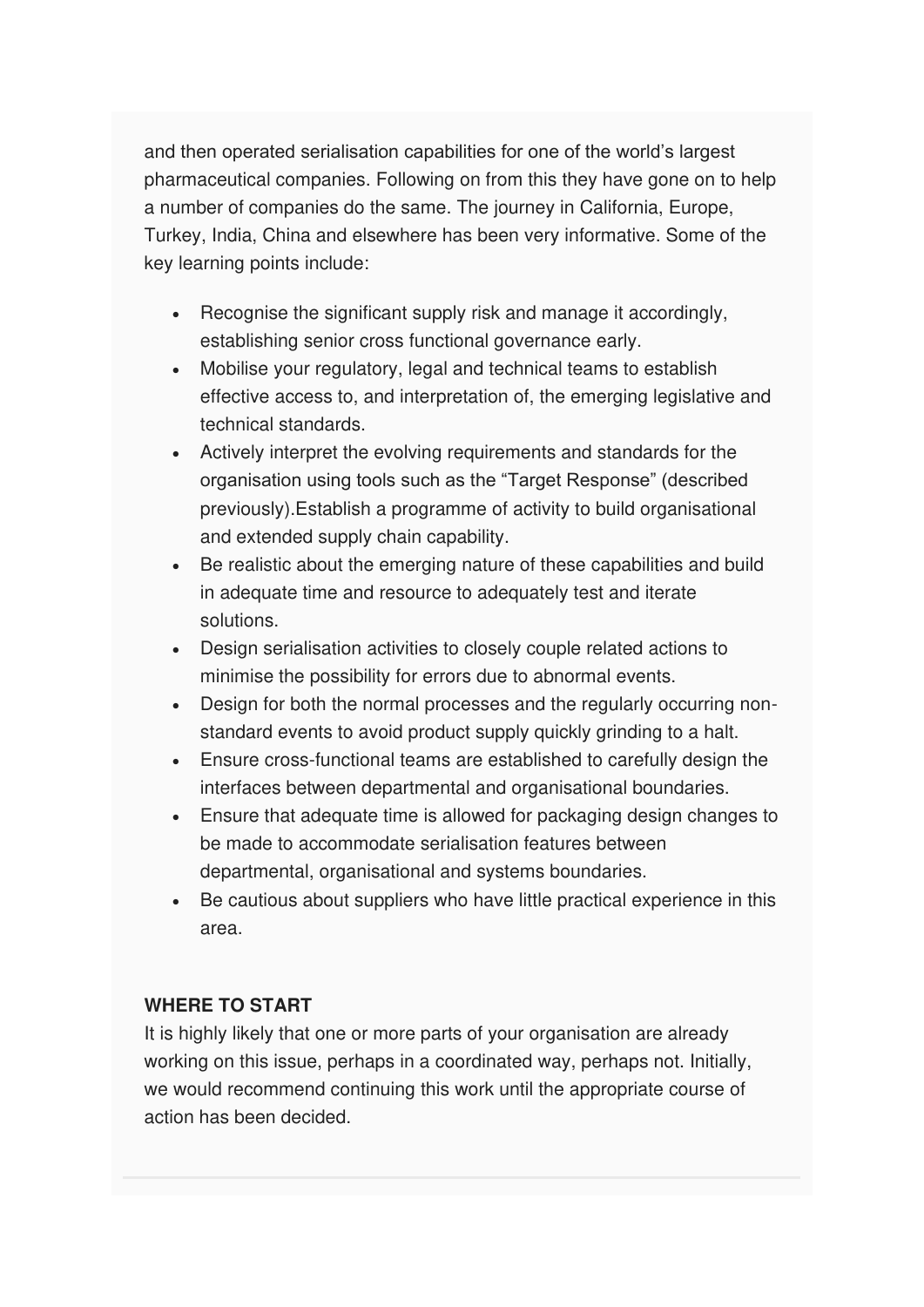and then operated serialisation capabilities for one of the world's largest pharmaceutical companies. Following on from this they have gone on to help a number of companies do the same. The journey in California, Europe, Turkey, India, China and elsewhere has been very informative. Some of the key learning points include:

- Recognise the significant supply risk and manage it accordingly, establishing senior cross functional governance early.
- Mobilise your regulatory, legal and technical teams to establish effective access to, and interpretation of, the emerging legislative and technical standards.
- Actively interpret the evolving requirements and standards for the organisation using tools such as the "Target Response" (described previously).Establish a programme of activity to build organisational and extended supply chain capability.
- Be realistic about the emerging nature of these capabilities and build in adequate time and resource to adequately test and iterate solutions.
- Design serialisation activities to closely couple related actions to minimise the possibility for errors due to abnormal events.
- Design for both the normal processes and the regularly occurring nonstandard events to avoid product supply quickly grinding to a halt.
- Ensure cross-functional teams are established to carefully design the interfaces between departmental and organisational boundaries.
- Ensure that adequate time is allowed for packaging design changes to be made to accommodate serialisation features between departmental, organisational and systems boundaries.
- Be cautious about suppliers who have little practical experience in this area.

#### **WHERE TO START**

It is highly likely that one or more parts of your organisation are already working on this issue, perhaps in a coordinated way, perhaps not. Initially, we would recommend continuing this work until the appropriate course of action has been decided.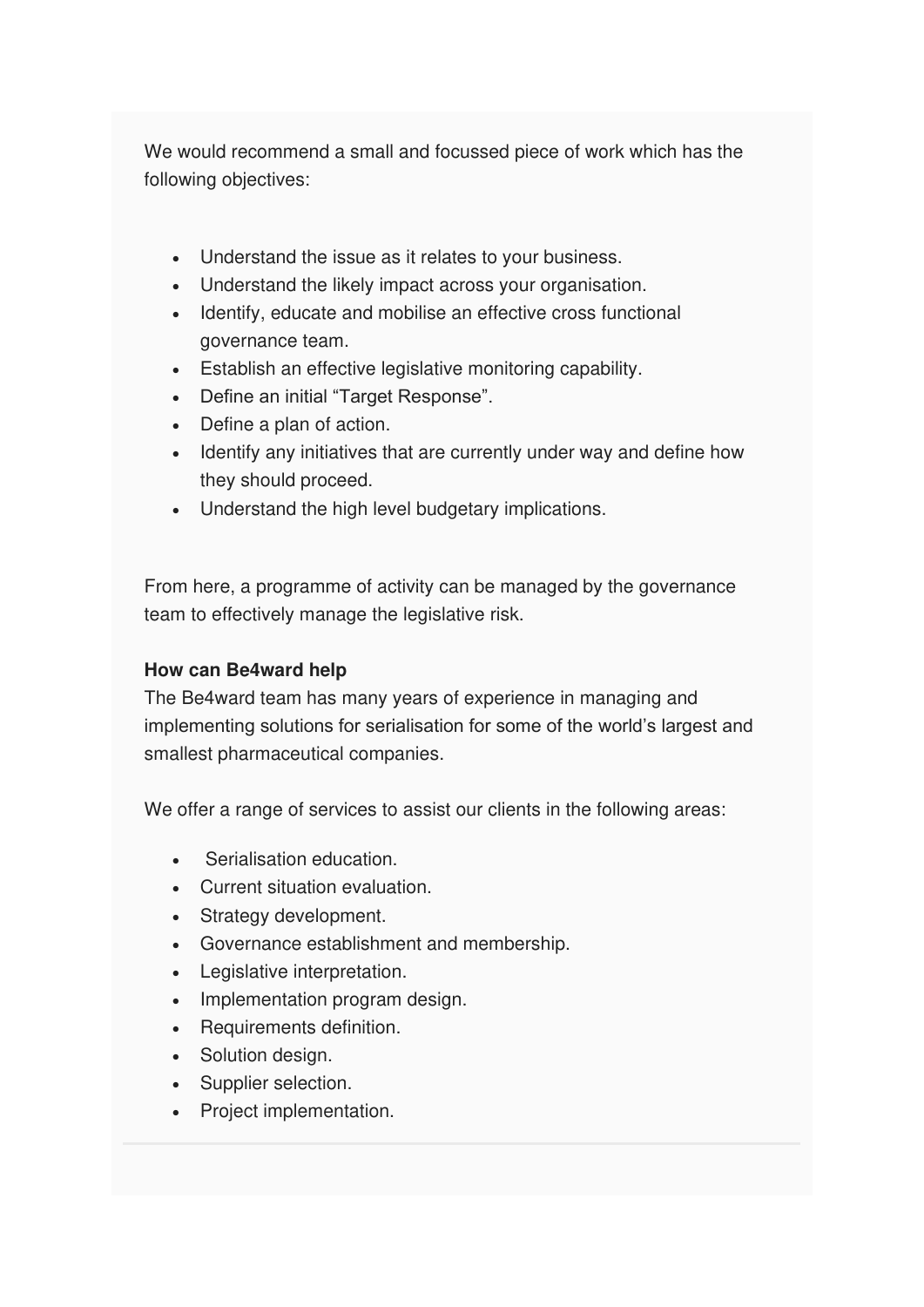We would recommend a small and focussed piece of work which has the following objectives:

- Understand the issue as it relates to your business.
- Understand the likely impact across your organisation.
- Identify, educate and mobilise an effective cross functional governance team.
- Establish an effective legislative monitoring capability.
- Define an initial "Target Response".
- Define a plan of action.
- Identify any initiatives that are currently under way and define how they should proceed.
- Understand the high level budgetary implications.

From here, a programme of activity can be managed by the governance team to effectively manage the legislative risk.

#### **How can Be4ward help**

The Be4ward team has many years of experience in managing and implementing solutions for serialisation for some of the world's largest and smallest pharmaceutical companies.

We offer a range of services to assist our clients in the following areas:

- Serialisation education.
- Current situation evaluation.
- Strategy development.
- Governance establishment and membership.
- Legislative interpretation.
- Implementation program design.
- Requirements definition.
- Solution design.
- Supplier selection.
- Project implementation.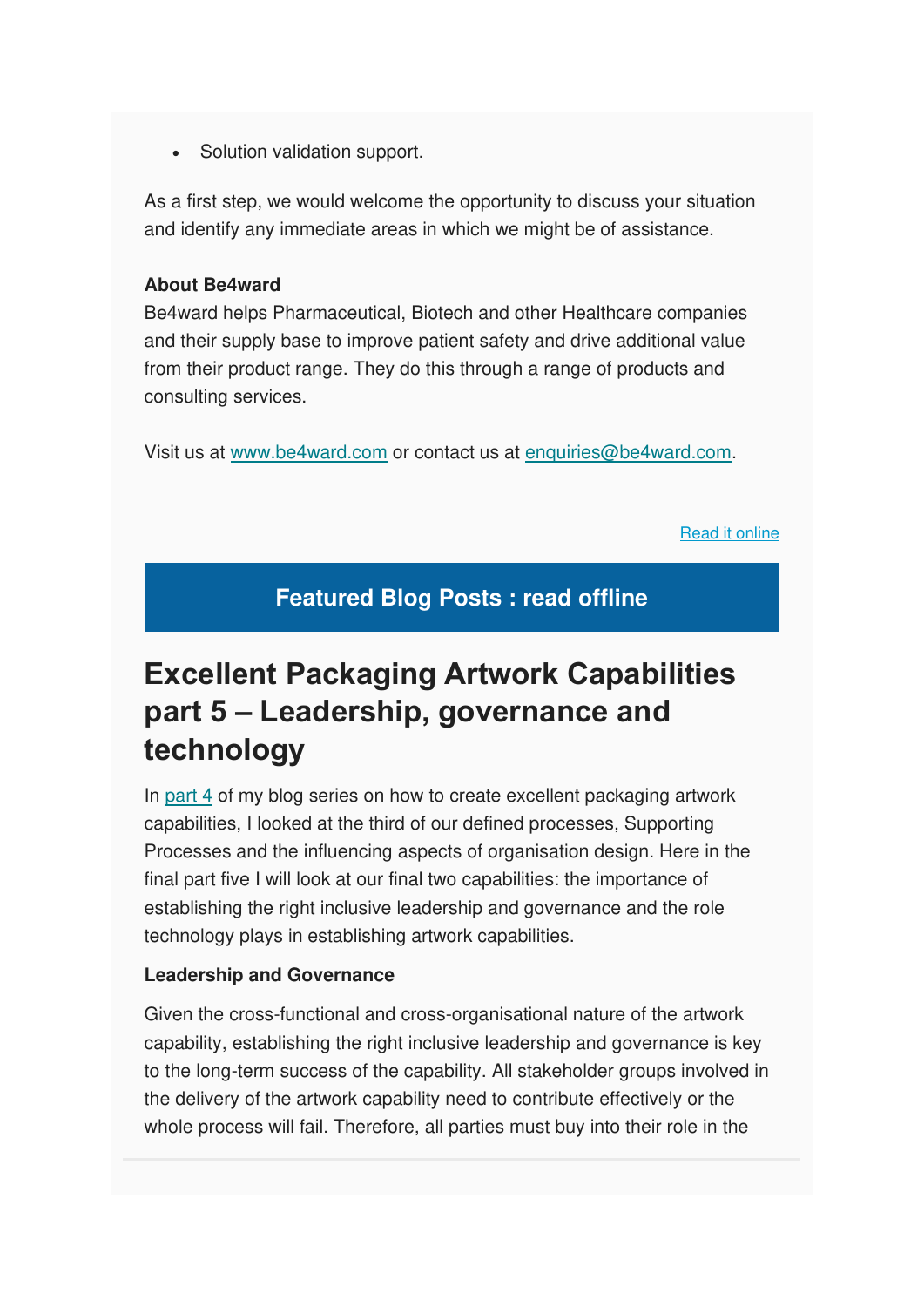• Solution validation support.

As a first step, we would welcome the opportunity to discuss your situation and identify any immediate areas in which we might be of assistance.

#### **About Be4ward**

Be4ward helps Pharmaceutical, Biotech and other Healthcare companies and their supply base to improve patient safety and drive additional value from their product range. They do this through a range of products and consulting services.

Visit us at [www.be4ward.com](http://www.be4ward.com/) or contact us at [enquiries@be4ward.com.](mailto:enquiries@be4ward.com)

[Read it online](https://www.be4ward.com/blogstephenmcindoe/2020/07/27/excellent-packaging-artwork-capabilities-part-5-leadership-governance-and-technology/)

### **Featured Blog Posts : read offline**

# **Excellent Packaging Artwork Capabilities part 5 – Leadership, governance and technology**

In [part 4](https://www.be4ward.com/blogstephenmcindoe/2020/06/24/excellent-packaging-artwork-capabilities-part-4-supporting-processes-and-organisation-design/) of my blog series on how to create excellent packaging artwork capabilities, I looked at the third of our defined processes, Supporting Processes and the influencing aspects of organisation design. Here in the final part five I will look at our final two capabilities: the importance of establishing the right inclusive leadership and governance and the role technology plays in establishing artwork capabilities.

#### **Leadership and Governance**

Given the cross-functional and cross-organisational nature of the artwork capability, establishing the right inclusive leadership and governance is key to the long-term success of the capability. All stakeholder groups involved in the delivery of the artwork capability need to contribute effectively or the whole process will fail. Therefore, all parties must buy into their role in the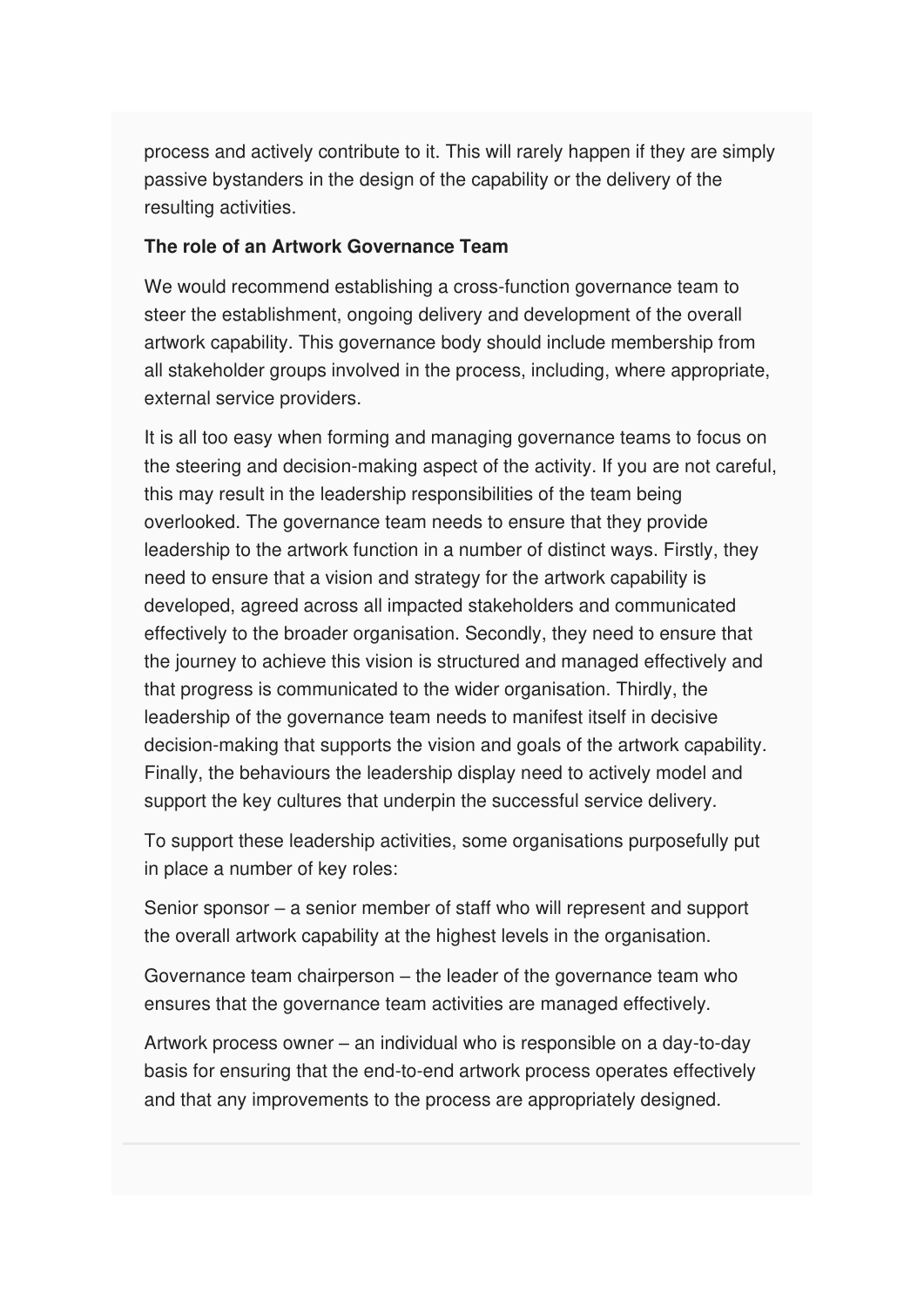process and actively contribute to it. This will rarely happen if they are simply passive bystanders in the design of the capability or the delivery of the resulting activities.

#### **The role of an Artwork Governance Team**

We would recommend establishing a cross-function governance team to steer the establishment, ongoing delivery and development of the overall artwork capability. This governance body should include membership from all stakeholder groups involved in the process, including, where appropriate, external service providers.

It is all too easy when forming and managing governance teams to focus on the steering and decision-making aspect of the activity. If you are not careful, this may result in the leadership responsibilities of the team being overlooked. The governance team needs to ensure that they provide leadership to the artwork function in a number of distinct ways. Firstly, they need to ensure that a vision and strategy for the artwork capability is developed, agreed across all impacted stakeholders and communicated effectively to the broader organisation. Secondly, they need to ensure that the journey to achieve this vision is structured and managed effectively and that progress is communicated to the wider organisation. Thirdly, the leadership of the governance team needs to manifest itself in decisive decision-making that supports the vision and goals of the artwork capability. Finally, the behaviours the leadership display need to actively model and support the key cultures that underpin the successful service delivery.

To support these leadership activities, some organisations purposefully put in place a number of key roles:

Senior sponsor – a senior member of staff who will represent and support the overall artwork capability at the highest levels in the organisation.

Governance team chairperson – the leader of the governance team who ensures that the governance team activities are managed effectively.

Artwork process owner – an individual who is responsible on a day-to-day basis for ensuring that the end-to-end artwork process operates effectively and that any improvements to the process are appropriately designed.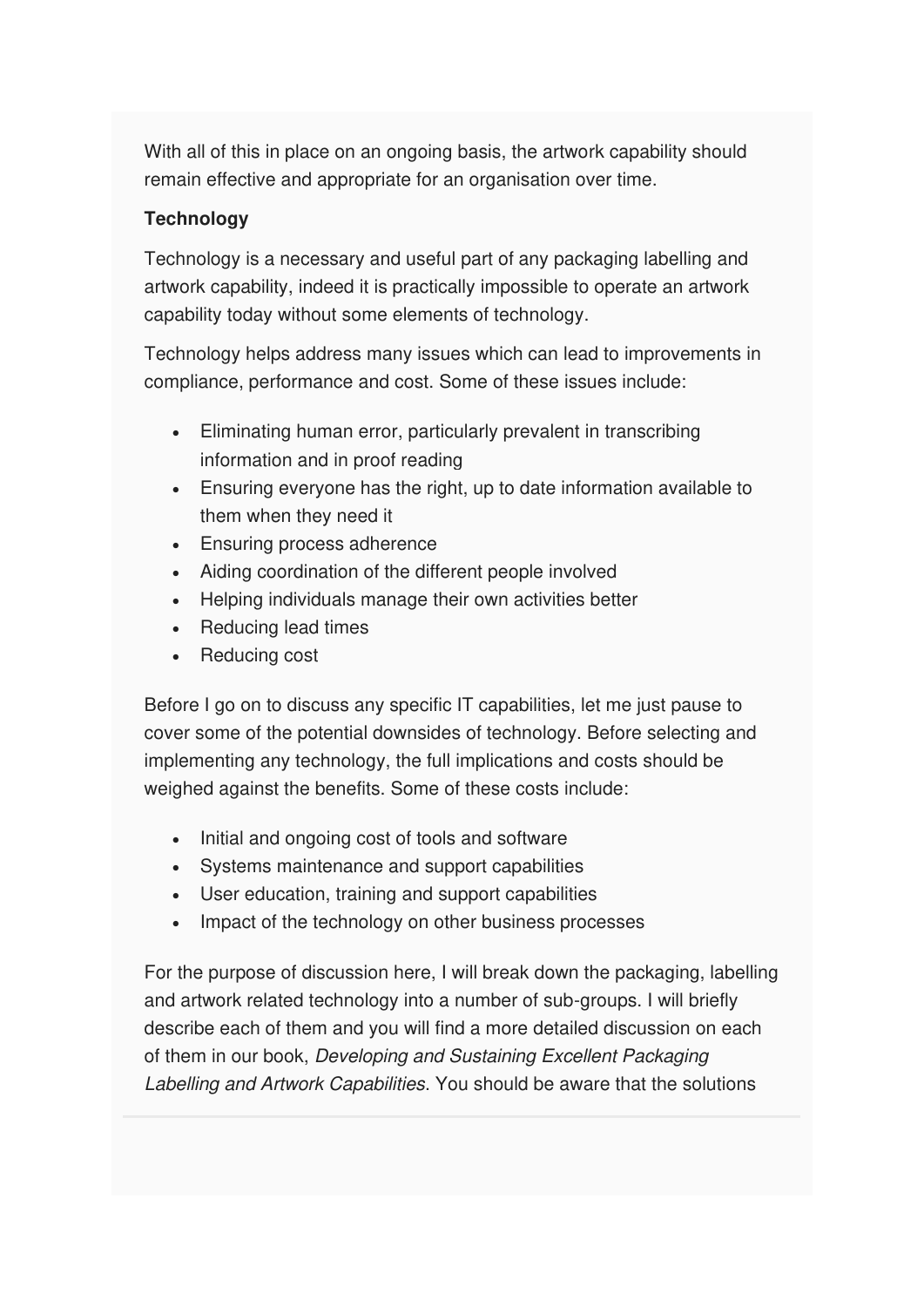With all of this in place on an ongoing basis, the artwork capability should remain effective and appropriate for an organisation over time.

### **Technology**

Technology is a necessary and useful part of any packaging labelling and artwork capability, indeed it is practically impossible to operate an artwork capability today without some elements of technology.

Technology helps address many issues which can lead to improvements in compliance, performance and cost. Some of these issues include:

- Eliminating human error, particularly prevalent in transcribing information and in proof reading
- Ensuring everyone has the right, up to date information available to them when they need it
- Ensuring process adherence
- Aiding coordination of the different people involved
- Helping individuals manage their own activities better
- Reducing lead times
- Reducing cost

Before I go on to discuss any specific IT capabilities, let me just pause to cover some of the potential downsides of technology. Before selecting and implementing any technology, the full implications and costs should be weighed against the benefits. Some of these costs include:

- Initial and ongoing cost of tools and software
- Systems maintenance and support capabilities
- User education, training and support capabilities
- Impact of the technology on other business processes

For the purpose of discussion here, I will break down the packaging, labelling and artwork related technology into a number of sub-groups. I will briefly describe each of them and you will find a more detailed discussion on each of them in our book, Developing and Sustaining Excellent Packaging Labelling and Artwork Capabilities. You should be aware that the solutions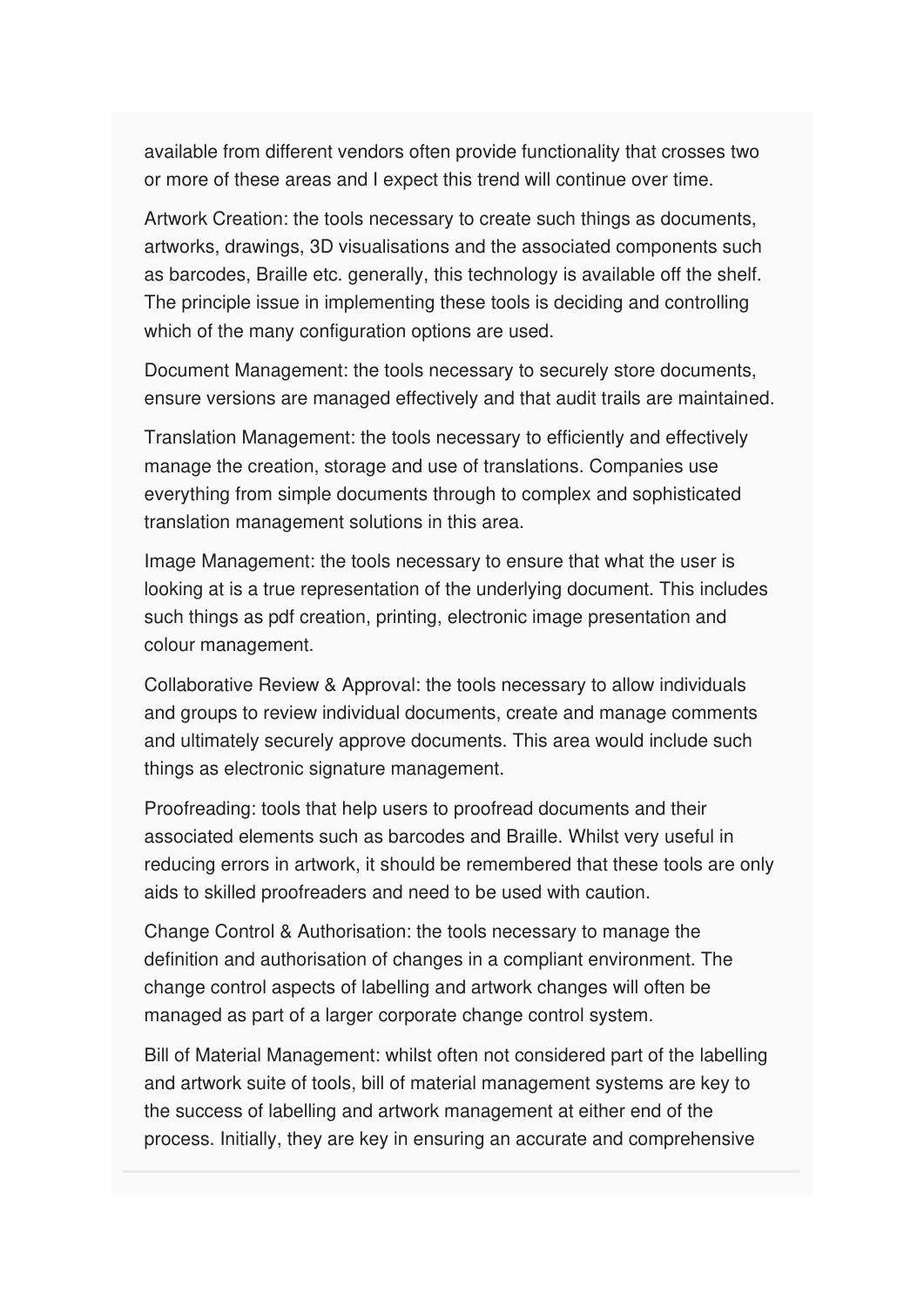available from different vendors often provide functionality that crosses two or more of these areas and I expect this trend will continue over time.

Artwork Creation: the tools necessary to create such things as documents, artworks, drawings, 3D visualisations and the associated components such as barcodes, Braille etc. generally, this technology is available off the shelf. The principle issue in implementing these tools is deciding and controlling which of the many configuration options are used.

Document Management: the tools necessary to securely store documents, ensure versions are managed effectively and that audit trails are maintained.

Translation Management: the tools necessary to efficiently and effectively manage the creation, storage and use of translations. Companies use everything from simple documents through to complex and sophisticated translation management solutions in this area.

Image Management: the tools necessary to ensure that what the user is looking at is a true representation of the underlying document. This includes such things as pdf creation, printing, electronic image presentation and colour management.

Collaborative Review & Approval: the tools necessary to allow individuals and groups to review individual documents, create and manage comments and ultimately securely approve documents. This area would include such things as electronic signature management.

Proofreading: tools that help users to proofread documents and their associated elements such as barcodes and Braille. Whilst very useful in reducing errors in artwork, it should be remembered that these tools are only aids to skilled proofreaders and need to be used with caution.

Change Control & Authorisation: the tools necessary to manage the definition and authorisation of changes in a compliant environment. The change control aspects of labelling and artwork changes will often be managed as part of a larger corporate change control system.

Bill of Material Management: whilst often not considered part of the labelling and artwork suite of tools, bill of material management systems are key to the success of labelling and artwork management at either end of the process. Initially, they are key in ensuring an accurate and comprehensive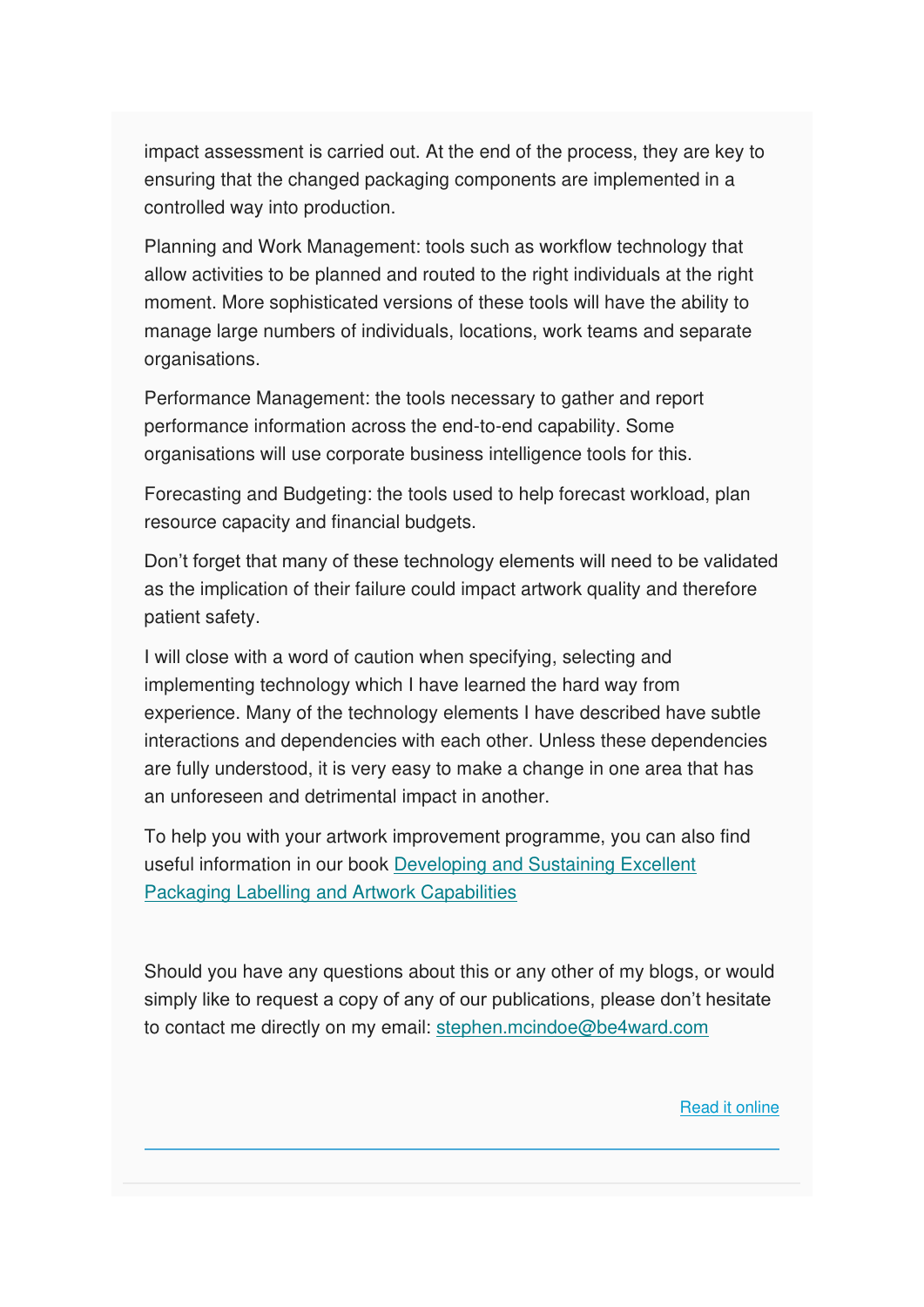impact assessment is carried out. At the end of the process, they are key to ensuring that the changed packaging components are implemented in a controlled way into production.

Planning and Work Management: tools such as workflow technology that allow activities to be planned and routed to the right individuals at the right moment. More sophisticated versions of these tools will have the ability to manage large numbers of individuals, locations, work teams and separate organisations.

Performance Management: the tools necessary to gather and report performance information across the end-to-end capability. Some organisations will use corporate business intelligence tools for this.

Forecasting and Budgeting: the tools used to help forecast workload, plan resource capacity and financial budgets.

Don't forget that many of these technology elements will need to be validated as the implication of their failure could impact artwork quality and therefore patient safety.

I will close with a word of caution when specifying, selecting and implementing technology which I have learned the hard way from experience. Many of the technology elements I have described have subtle interactions and dependencies with each other. Unless these dependencies are fully understood, it is very easy to make a change in one area that has an unforeseen and detrimental impact in another.

To help you with your artwork improvement programme, you can also find useful information in our book [Developing and Sustaining Excellent](https://www.amazon.co.uk/Developing-Sustaining-Excellent-Packaging-Capabilities-ebook/dp/B008GUX88C)  [Packaging Labelling and Artwork Capabilities](https://www.amazon.co.uk/Developing-Sustaining-Excellent-Packaging-Capabilities-ebook/dp/B008GUX88C)

Should you have any questions about this or any other of my blogs, or would simply like to request a copy of any of our publications, please don't hesitate to contact me directly on my email: [stephen.mcindoe@be4ward.com](mailto:stephen.mcindoe@be4ward.com)

[Read it online](https://www.be4ward.com/blogstephenmcindoe/2020/07/27/excellent-packaging-artwork-capabilities-part-5-leadership-governance-and-technology/)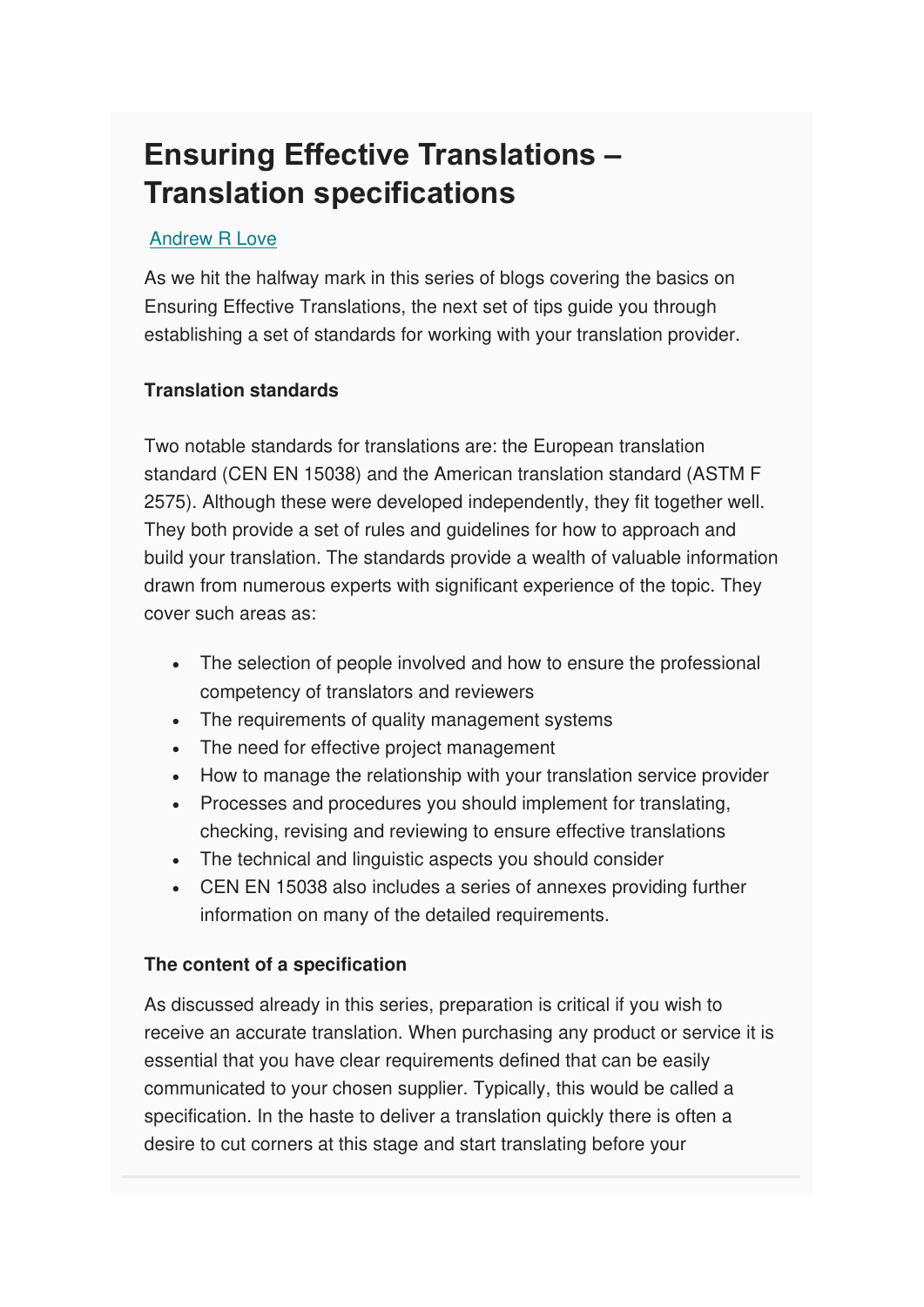# **Ensuring Effective Translations – Translation specifications**

#### [Andrew R Love](https://www.be4ward.com/blogandrewrlove/author/stefan/)

As we hit the halfway mark in this series of blogs covering the basics on Ensuring Effective Translations, the next set of tips guide you through establishing a set of standards for working with your translation provider.

#### **Translation standards**

Two notable standards for translations are: the European translation standard (CEN EN 15038) and the American translation standard (ASTM F 2575). Although these were developed independently, they fit together well. They both provide a set of rules and guidelines for how to approach and build your translation. The standards provide a wealth of valuable information drawn from numerous experts with significant experience of the topic. They cover such areas as:

- The selection of people involved and how to ensure the professional competency of translators and reviewers
- The requirements of quality management systems
- The need for effective project management
- How to manage the relationship with your translation service provider
- Processes and procedures you should implement for translating, checking, revising and reviewing to ensure effective translations
- The technical and linguistic aspects you should consider
- CEN EN 15038 also includes a series of annexes providing further information on many of the detailed requirements.

#### **The content of a specification**

As discussed already in this series, preparation is critical if you wish to receive an accurate translation. When purchasing any product or service it is essential that you have clear requirements defined that can be easily communicated to your chosen supplier. Typically, this would be called a specification. In the haste to deliver a translation quickly there is often a desire to cut corners at this stage and start translating before your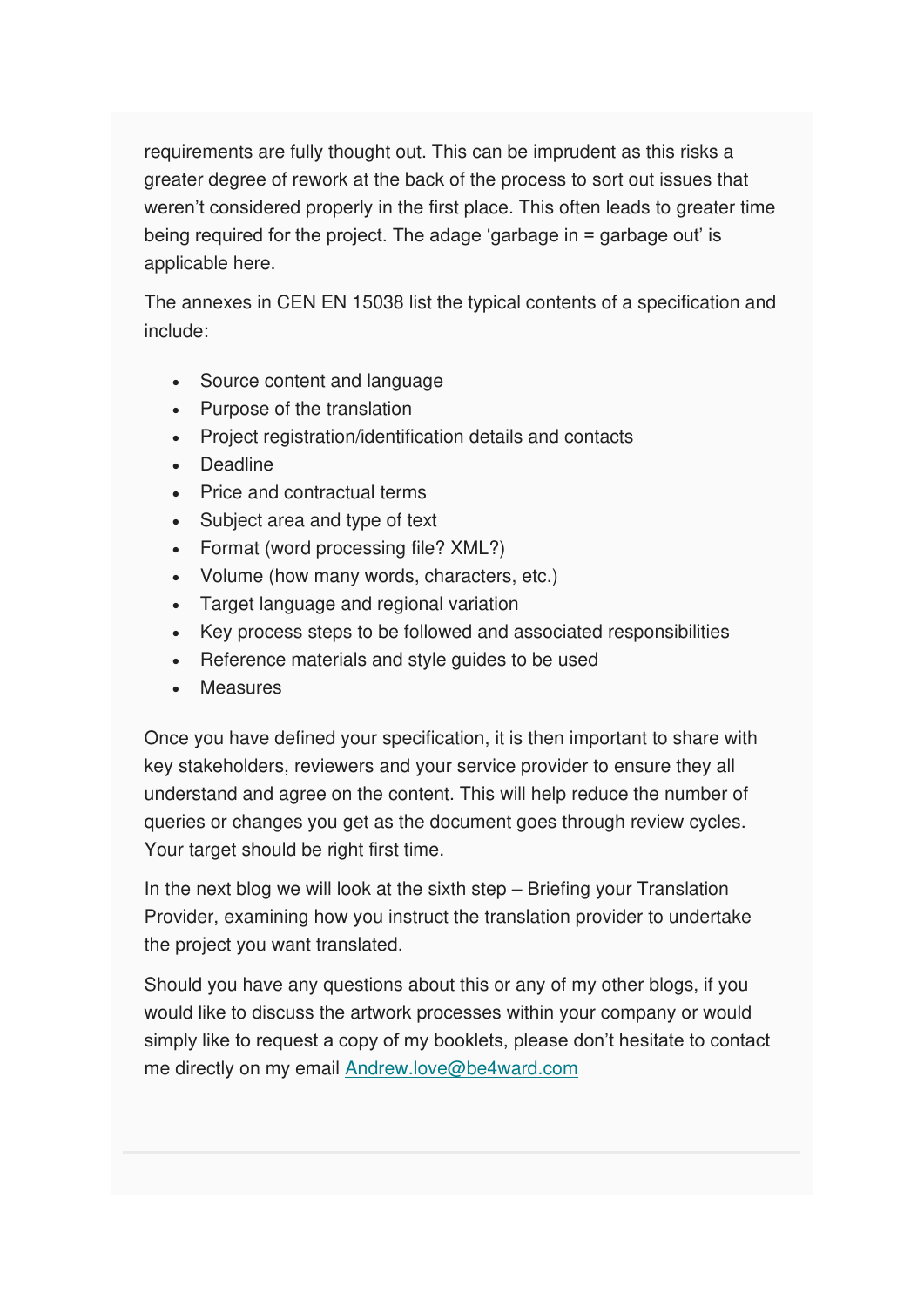requirements are fully thought out. This can be imprudent as this risks a greater degree of rework at the back of the process to sort out issues that weren't considered properly in the first place. This often leads to greater time being required for the project. The adage 'garbage in = garbage out' is applicable here.

The annexes in CEN EN 15038 list the typical contents of a specification and include:

- Source content and language
- Purpose of the translation
- Project registration/identification details and contacts
- Deadline
- Price and contractual terms
- Subject area and type of text
- Format (word processing file? XML?)
- Volume (how many words, characters, etc.)
- Target language and regional variation
- Key process steps to be followed and associated responsibilities
- Reference materials and style guides to be used
- **Measures**

Once you have defined your specification, it is then important to share with key stakeholders, reviewers and your service provider to ensure they all understand and agree on the content. This will help reduce the number of queries or changes you get as the document goes through review cycles. Your target should be right first time.

In the next blog we will look at the sixth step – Briefing your Translation Provider, examining how you instruct the translation provider to undertake the project you want translated.

Should you have any questions about this or any of my other blogs, if you would like to discuss the artwork processes within your company or would simply like to request a copy of my booklets, please don't hesitate to contact me directly on my email [Andrew.love@be4ward.com](mailto:Andrew.love@be4ward.com)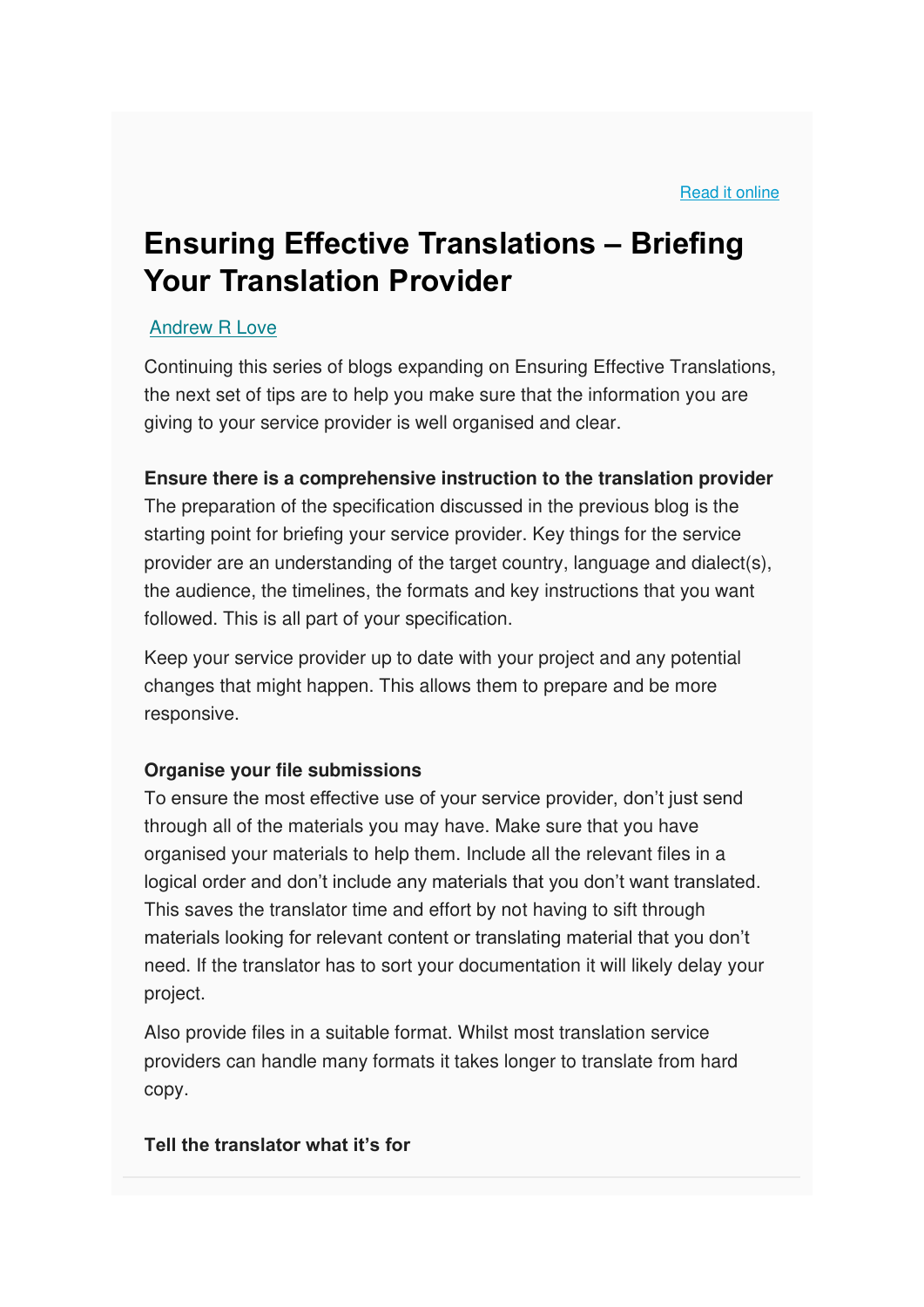# **Ensuring Effective Translations – Briefing Your Translation Provider**

#### [Andrew R Love](https://www.be4ward.com/blogandrewrlove/author/stefan/)

Continuing this series of blogs expanding on Ensuring Effective Translations, the next set of tips are to help you make sure that the information you are giving to your service provider is well organised and clear.

#### **Ensure there is a comprehensive instruction to the translation provider**

The preparation of the specification discussed in the previous blog is the starting point for briefing your service provider. Key things for the service provider are an understanding of the target country, language and dialect(s), the audience, the timelines, the formats and key instructions that you want followed. This is all part of your specification.

Keep your service provider up to date with your project and any potential changes that might happen. This allows them to prepare and be more responsive.

#### **Organise your file submissions**

To ensure the most effective use of your service provider, don't just send through all of the materials you may have. Make sure that you have organised your materials to help them. Include all the relevant files in a logical order and don't include any materials that you don't want translated. This saves the translator time and effort by not having to sift through materials looking for relevant content or translating material that you don't need. If the translator has to sort your documentation it will likely delay your project.

Also provide files in a suitable format. Whilst most translation service providers can handle many formats it takes longer to translate from hard copy.

#### **Tell the translator what it's for**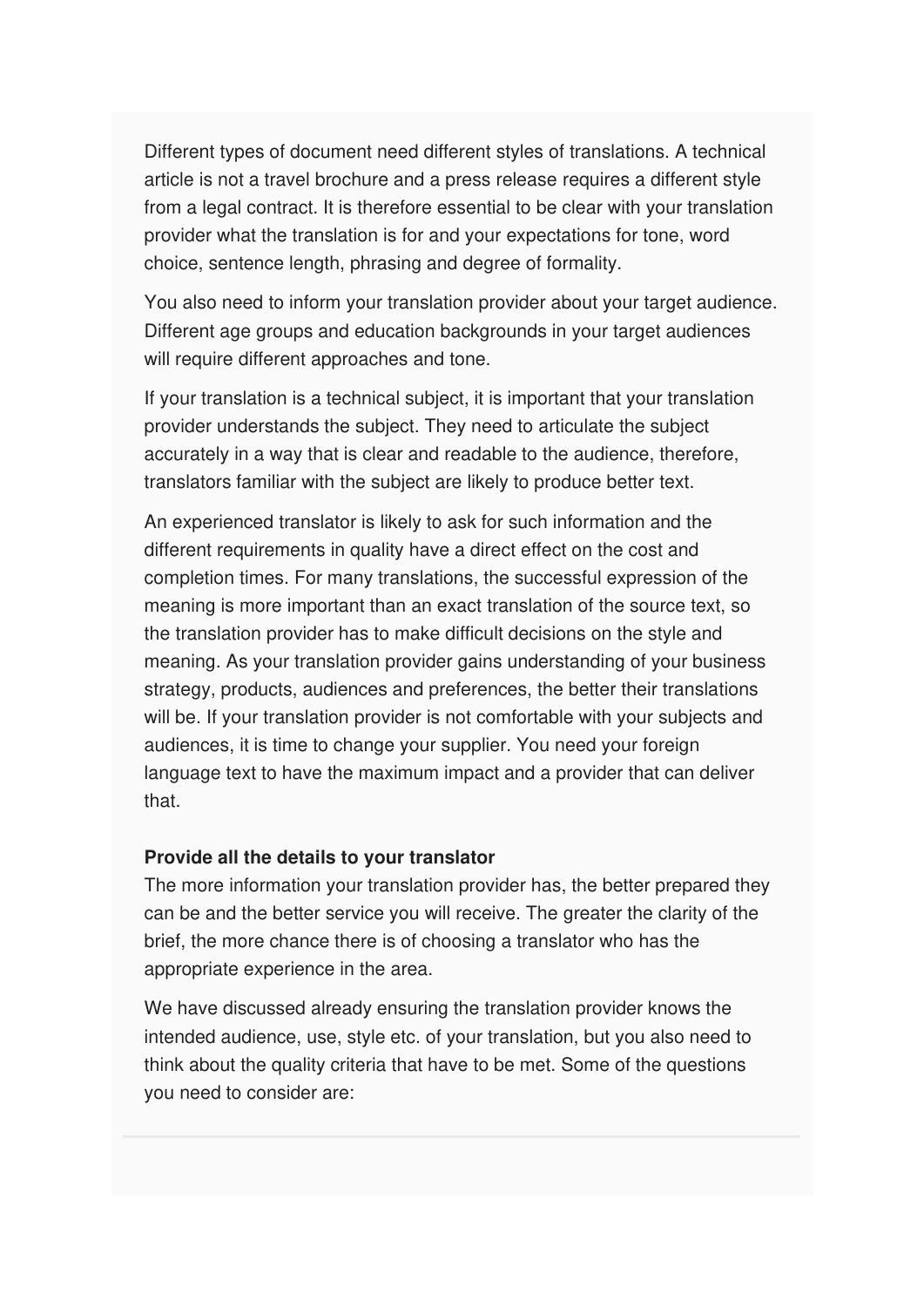Different types of document need different styles of translations. A technical article is not a travel brochure and a press release requires a different style from a legal contract. It is therefore essential to be clear with your translation provider what the translation is for and your expectations for tone, word choice, sentence length, phrasing and degree of formality.

You also need to inform your translation provider about your target audience. Different age groups and education backgrounds in your target audiences will require different approaches and tone.

If your translation is a technical subject, it is important that your translation provider understands the subject. They need to articulate the subject accurately in a way that is clear and readable to the audience, therefore, translators familiar with the subject are likely to produce better text.

An experienced translator is likely to ask for such information and the different requirements in quality have a direct effect on the cost and completion times. For many translations, the successful expression of the meaning is more important than an exact translation of the source text, so the translation provider has to make difficult decisions on the style and meaning. As your translation provider gains understanding of your business strategy, products, audiences and preferences, the better their translations will be. If your translation provider is not comfortable with your subjects and audiences, it is time to change your supplier. You need your foreign language text to have the maximum impact and a provider that can deliver that.

#### **Provide all the details to your translator**

The more information your translation provider has, the better prepared they can be and the better service you will receive. The greater the clarity of the brief, the more chance there is of choosing a translator who has the appropriate experience in the area.

We have discussed already ensuring the translation provider knows the intended audience, use, style etc. of your translation, but you also need to think about the quality criteria that have to be met. Some of the questions you need to consider are: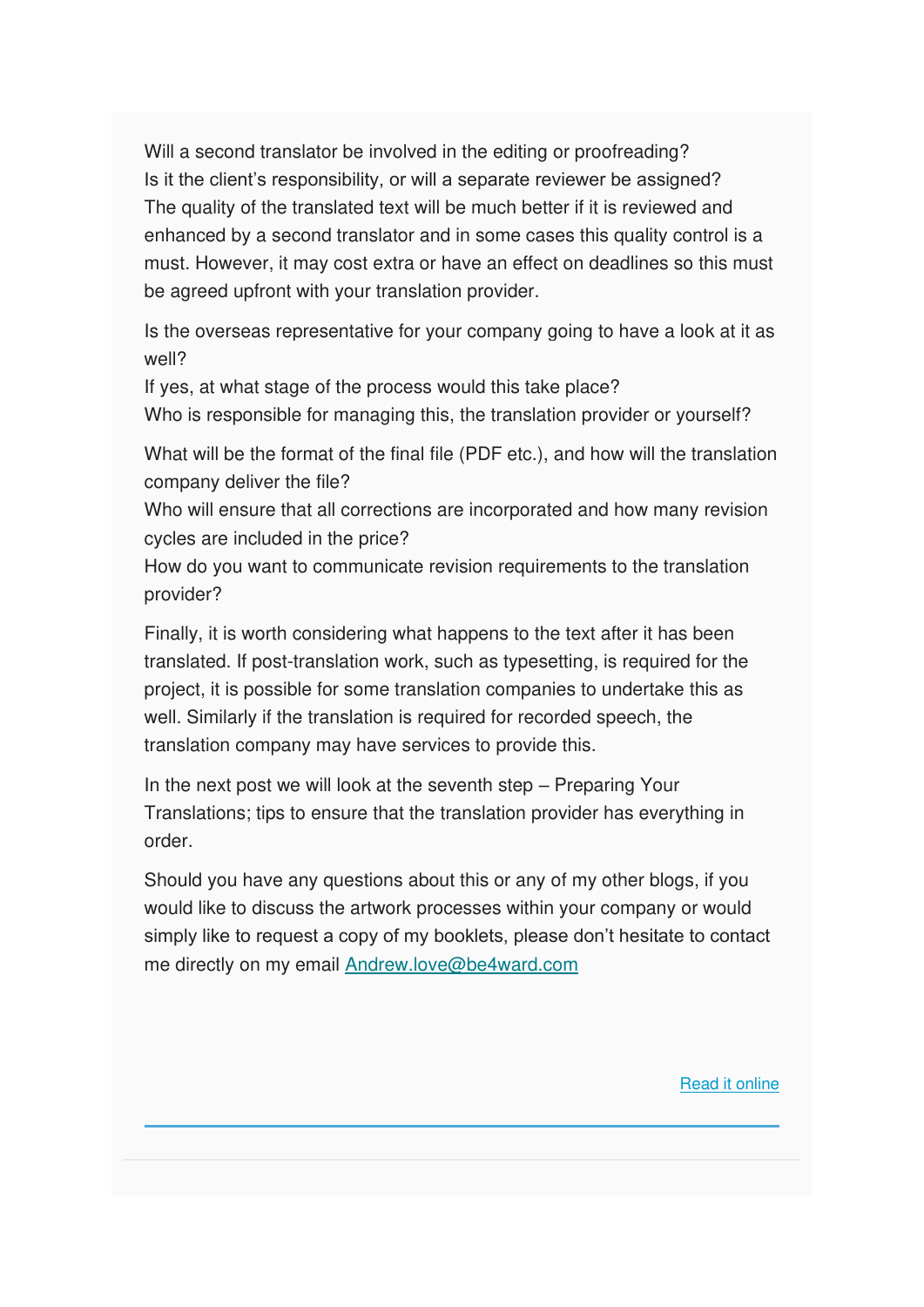Will a second translator be involved in the editing or proofreading? Is it the client's responsibility, or will a separate reviewer be assigned? The quality of the translated text will be much better if it is reviewed and enhanced by a second translator and in some cases this quality control is a must. However, it may cost extra or have an effect on deadlines so this must be agreed upfront with your translation provider.

Is the overseas representative for your company going to have a look at it as well?

If yes, at what stage of the process would this take place?

Who is responsible for managing this, the translation provider or yourself?

What will be the format of the final file (PDF etc.), and how will the translation company deliver the file?

Who will ensure that all corrections are incorporated and how many revision cycles are included in the price?

How do you want to communicate revision requirements to the translation provider?

Finally, it is worth considering what happens to the text after it has been translated. If post-translation work, such as typesetting, is required for the project, it is possible for some translation companies to undertake this as well. Similarly if the translation is required for recorded speech, the translation company may have services to provide this.

In the next post we will look at the seventh step – Preparing Your Translations; tips to ensure that the translation provider has everything in order.

Should you have any questions about this or any of my other blogs, if you would like to discuss the artwork processes within your company or would simply like to request a copy of my booklets, please don't hesitate to contact me directly on my email [Andrew.love@be4ward.com](mailto:Andrew.love@be4ward.com)

[Read it online](https://www.be4ward.com/blogandrewrlove/2020/09/28/ensuring-effective-translations-briefing-your-translation-provider/)